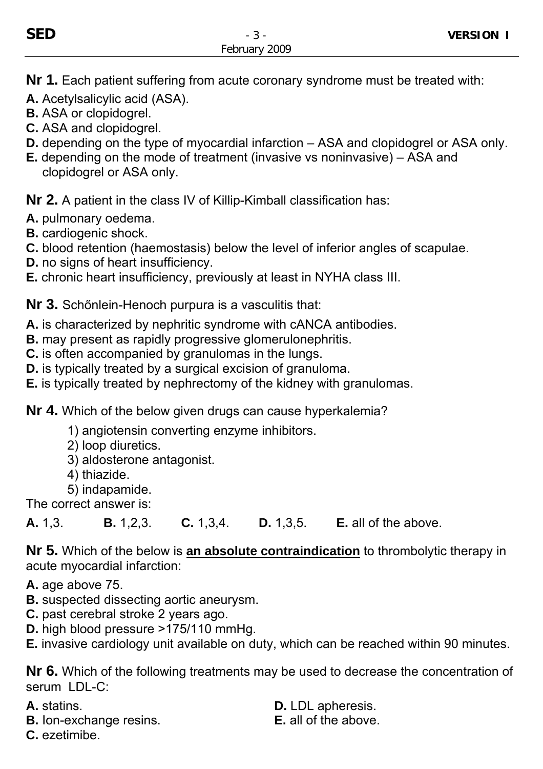**Nr 1.** Each patient suffering from acute coronary syndrome must be treated with:

- **A.** Acetylsalicylic acid (ASA).
- **B.** ASA or clopidogrel.
- **C.** ASA and clopidogrel.
- **D.** depending on the type of myocardial infarction ASA and clopidogrel or ASA only.
- **E.** depending on the mode of treatment (invasive vs noninvasive) ASA and clopidogrel or ASA only.

**Nr 2.** A patient in the class IV of Killip-Kimball classification has:

- **A.** pulmonary oedema.
- **B.** cardiogenic shock.
- **C.** blood retention (haemostasis) below the level of inferior angles of scapulae.
- **D.** no signs of heart insufficiency.
- **E.** chronic heart insufficiency, previously at least in NYHA class III.

**Nr 3.** Schőnlein-Henoch purpura is a vasculitis that:

**A.** is characterized by nephritic syndrome with cANCA antibodies.

- **B.** may present as rapidly progressive glomerulonephritis.
- **C.** is often accompanied by granulomas in the lungs.
- **D.** is typically treated by a surgical excision of granuloma.
- **E.** is typically treated by nephrectomy of the kidney with granulomas.

**Nr 4.** Which of the below given drugs can cause hyperkalemia?

- 1) angiotensin converting enzyme inhibitors.
- 2) loop diuretics.
- 3) aldosterone antagonist.
- 4) thiazide.
- 5) indapamide.

The correct answer is:

**A.** 1,3. **B.** 1,2,3. **C.** 1,3,4. **D.** 1,3,5. **E.** all of the above.

**Nr 5.** Which of the below is **an absolute contraindication** to thrombolytic therapy in acute myocardial infarction:

- **A.** age above 75.
- **B.** suspected dissecting aortic aneurysm.
- **C.** past cerebral stroke 2 years ago.
- **D.** high blood pressure >175/110 mmHg.
- **E.** invasive cardiology unit available on duty, which can be reached within 90 minutes.

**Nr 6.** Which of the following treatments may be used to decrease the concentration of serum LDL-C:

- 
- **B.** Ion-exchange resins. **E.** all of the above.

**A.** statins. **D.** LDL apheresis.

**C.** ezetimibe.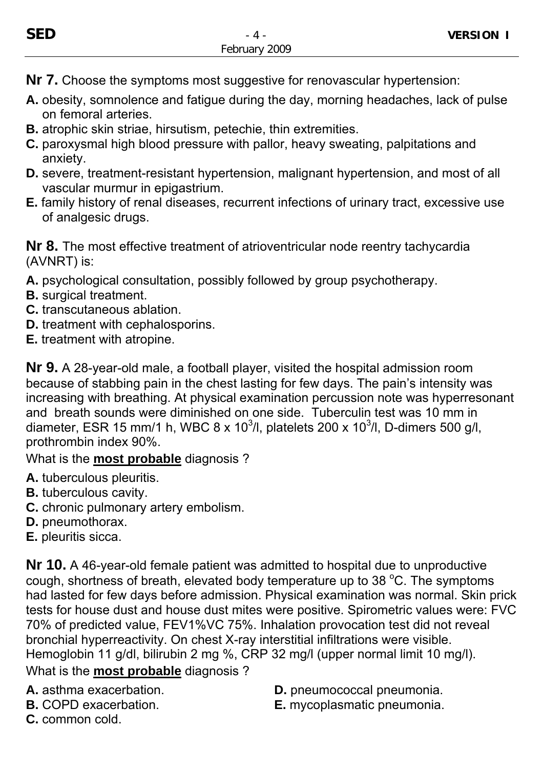- **Nr 7.** Choose the symptoms most suggestive for renovascular hypertension:
- **A.** obesity, somnolence and fatigue during the day, morning headaches, lack of pulse on femoral arteries.
- **B.** atrophic skin striae, hirsutism, petechie, thin extremities.
- **C.** paroxysmal high blood pressure with pallor, heavy sweating, palpitations and anxiety.
- **D.** severe, treatment-resistant hypertension, malignant hypertension, and most of all vascular murmur in epigastrium.
- **E.** family history of renal diseases, recurrent infections of urinary tract, excessive use of analgesic drugs.

**Nr 8.** The most effective treatment of atrioventricular node reentry tachycardia (AVNRT) is:

- **A.** psychological consultation, possibly followed by group psychotherapy.
- **B.** surgical treatment.
- **C.** transcutaneous ablation.
- **D.** treatment with cephalosporins.
- **E.** treatment with atropine.

**Nr 9.** A 28-year-old male, a football player, visited the hospital admission room because of stabbing pain in the chest lasting for few days. The pain's intensity was increasing with breathing. At physical examination percussion note was hyperresonant and breath sounds were diminished on one side. Tuberculin test was 10 mm in diameter, ESR 15 mm/1 h, WBC 8 x 10<sup>3</sup>/l, platelets 200 x 10<sup>3</sup>/l, D-dimers 500 g/l, prothrombin index 90%.

What is the **most probable** diagnosis ?

- **A.** tuberculous pleuritis.
- **B.** tuberculous cavity.
- **C.** chronic pulmonary artery embolism.
- **D.** pneumothorax.
- **E.** pleuritis sicca.

**Nr 10.** A 46-year-old female patient was admitted to hospital due to unproductive cough, shortness of breath, elevated body temperature up to 38  $^{\circ}$ C. The symptoms had lasted for few days before admission. Physical examination was normal. Skin prick tests for house dust and house dust mites were positive. Spirometric values were: FVC 70% of predicted value, FEV1%VC 75%. Inhalation provocation test did not reveal bronchial hyperreactivity. On chest X-ray interstitial infiltrations were visible. Hemoglobin 11 g/dl, bilirubin 2 mg %, CRP 32 mg/l (upper normal limit 10 mg/l). What is the **most probable** diagnosis ?

- 
- **C.** common cold.
- A. asthma exacerbation. **D.** pneumococcal pneumonia.
- **B.** COPD exacerbation. **E.** mycoplasmatic pneumonia.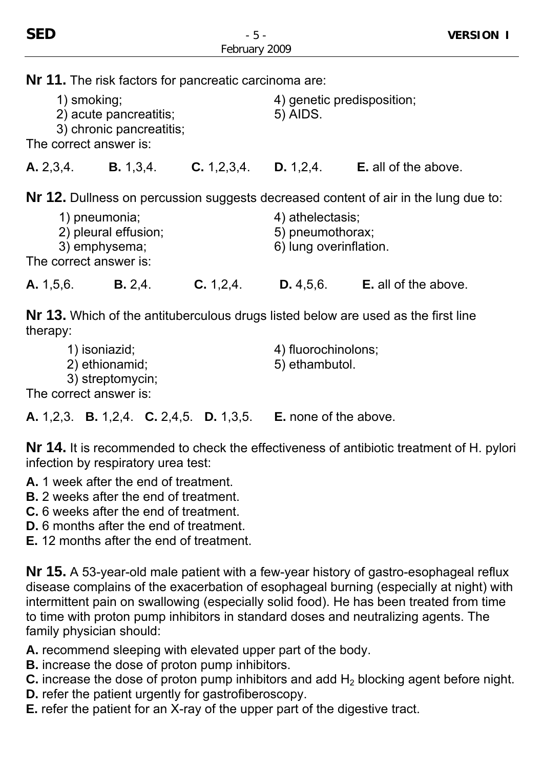| <b>SED</b>                            |                                                        | $-5-$                                                        |                                                                | <b>VERSION I</b>                                                                                  |
|---------------------------------------|--------------------------------------------------------|--------------------------------------------------------------|----------------------------------------------------------------|---------------------------------------------------------------------------------------------------|
|                                       |                                                        | February 2009                                                |                                                                |                                                                                                   |
|                                       |                                                        | <b>Nr 11.</b> The risk factors for pancreatic carcinoma are: |                                                                |                                                                                                   |
| 1) smoking;<br>The correct answer is: | 2) acute pancreatitis;<br>3) chronic pancreatitis;     |                                                              | 5) AIDS.                                                       | 4) genetic predisposition;                                                                        |
|                                       |                                                        |                                                              |                                                                | <b>A.</b> 2,3,4. <b>B.</b> 1,3,4. <b>C.</b> 1,2,3,4. <b>D.</b> 1,2,4. <b>E.</b> all of the above. |
|                                       |                                                        |                                                              |                                                                | <b>Nr 12.</b> Dullness on percussion suggests decreased content of air in the lung due to:        |
| The correct answer is:                | 1) pneumonia;<br>2) pleural effusion;<br>3) emphysema; |                                                              | 4) athelectasis;<br>5) pneumothorax;<br>6) lung overinflation. |                                                                                                   |
| <b>A.</b> $1,5,6$ . <b>B.</b> 2,4.    |                                                        | C. 1, 2, 4.                                                  |                                                                | <b>D.</b> 4,5,6. <b>E.</b> all of the above.                                                      |
|                                       |                                                        |                                                              |                                                                | Nr 13. Which of the antituberculous drugs listed below are used as the first line                 |

| 1) isoniazid;    |                        |                                                                     | 4) fluorochinolons; |                              |
|------------------|------------------------|---------------------------------------------------------------------|---------------------|------------------------------|
| 2) ethionamid;   |                        |                                                                     | 5) ethambutol.      |                              |
| 3) streptomycin; |                        |                                                                     |                     |                              |
|                  | The correct answer is: |                                                                     |                     |                              |
|                  |                        | <b>A.</b> 1,2,3. <b>B.</b> 1,2,4. <b>C.</b> 2,4,5. <b>D.</b> 1,3,5. |                     | <b>E.</b> none of the above. |

**Nr 14.** It is recommended to check the effectiveness of antibiotic treatment of H. pylori infection by respiratory urea test:

**A.** 1 week after the end of treatment.

therapy:

- **B.** 2 weeks after the end of treatment.
- **C.** 6 weeks after the end of treatment.
- **D.** 6 months after the end of treatment.
- **E.** 12 months after the end of treatment.

**Nr 15.** A 53-year-old male patient with a few-year history of gastro-esophageal reflux disease complains of the exacerbation of esophageal burning (especially at night) with intermittent pain on swallowing (especially solid food). He has been treated from time to time with proton pump inhibitors in standard doses and neutralizing agents. The family physician should:

**A.** recommend sleeping with elevated upper part of the body.

- **B.** increase the dose of proton pump inhibitors.
- **C.** increase the dose of proton pump inhibitors and add  $H_2$  blocking agent before night.
- **D.** refer the patient urgently for gastrofiberoscopy.
- **E.** refer the patient for an X-ray of the upper part of the digestive tract.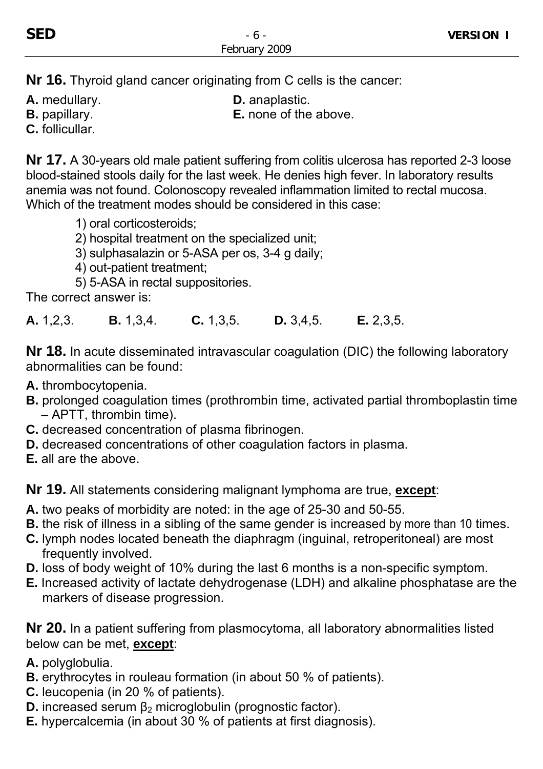**Nr 16.** Thyroid gland cancer originating from C cells is the cancer:

- **A.** medullary. **D.** anaplastic.
- 
- **B.** papillary. **E.** none of the above.

**C.** follicullar.

**Nr 17.** A 30-years old male patient suffering from colitis ulcerosa has reported 2-3 loose blood-stained stools daily for the last week. He denies high fever. In laboratory results anemia was not found. Colonoscopy revealed inflammation limited to rectal mucosa. Which of the treatment modes should be considered in this case:

- 1) oral corticosteroids;
- 2) hospital treatment on the specialized unit;
- 3) sulphasalazin or 5-ASA per os, 3-4 g daily;
- 4) out-patient treatment;
- 5) 5-ASA in rectal suppositories.

The correct answer is:

**A.** 1,2,3. **B.** 1,3,4. **C.** 1,3,5. **D.** 3,4,5. **E.** 2,3,5.

**Nr 18.** In acute disseminated intravascular coagulation (DIC) the following laboratory abnormalities can be found:

- **A.** thrombocytopenia.
- **B.** prolonged coagulation times (prothrombin time, activated partial thromboplastin time – APTT, thrombin time).
- **C.** decreased concentration of plasma fibrinogen.
- **D.** decreased concentrations of other coagulation factors in plasma.
- **E.** all are the above.

**Nr 19.** All statements considering malignant lymphoma are true, **except**:

- **A.** two peaks of morbidity are noted: in the age of 25-30 and 50-55.
- **B.** the risk of illness in a sibling of the same gender is increased by more than 10 times.
- **C.** lymph nodes located beneath the diaphragm (inguinal, retroperitoneal) are most frequently involved.
- **D.** loss of body weight of 10% during the last 6 months is a non-specific symptom.
- **E.** Increased activity of lactate dehydrogenase (LDH) and alkaline phosphatase are the markers of disease progression.

**Nr 20.** In a patient suffering from plasmocytoma, all laboratory abnormalities listed below can be met, **except**:

- **A.** polyglobulia.
- **B.** erythrocytes in rouleau formation (in about 50 % of patients).
- **C.** leucopenia (in 20 % of patients).
- **D.** increased serum β<sub>2</sub> microglobulin (prognostic factor).
- **E.** hypercalcemia (in about 30 % of patients at first diagnosis).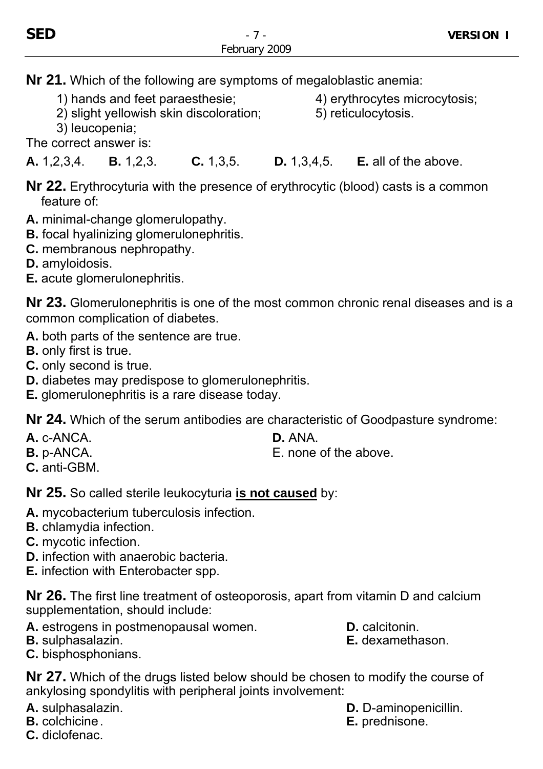| <b>SED</b>                     |                                                                                                                                                                  | $-7 -$                                                              | <b>VERSION I</b>                                                                                    |
|--------------------------------|------------------------------------------------------------------------------------------------------------------------------------------------------------------|---------------------------------------------------------------------|-----------------------------------------------------------------------------------------------------|
|                                |                                                                                                                                                                  | February 2009                                                       |                                                                                                     |
|                                |                                                                                                                                                                  | Nr 21. Which of the following are symptoms of megaloblastic anemia: |                                                                                                     |
| The correct answer is:         | 1) hands and feet paraesthesie;<br>3) leucopenia;                                                                                                                | 2) slight yellowish skin discoloration;                             | 4) erythrocytes microcytosis;<br>5) reticulocytosis.                                                |
|                                |                                                                                                                                                                  |                                                                     | <b>A.</b> 1,2,3,4. <b>B.</b> 1,2,3. <b>C.</b> 1,3,5. <b>D.</b> 1,3,4,5. <b>E.</b> all of the above. |
| feature of:<br>D. amyloidosis. | A. minimal-change glomerulopathy.<br><b>B.</b> focal hyalinizing glomerulonephritis.<br><b>C.</b> membranous nephropathy.<br><b>E.</b> acute glomerulonephritis. |                                                                     | Nr 22. Erythrocyturia with the presence of erythrocytic (blood) casts is a common                   |
|                                |                                                                                                                                                                  |                                                                     | $\mathsf{Nr}\,23$ . Glomerulonenhritis is one of the most common chronic renal diseases and is a    |

**S.** Glomerulonephritis is one of the most common chronic renal diseases and is common complication of diabetes.

- **A.** both parts of the sentence are true.
- **B.** only first is true.
- **C.** only second is true.
- **D.** diabetes may predispose to glomerulonephritis.
- **E.** glomerulonephritis is a rare disease today.

**Nr 24.** Which of the serum antibodies are characteristic of Goodpasture syndrome:

- **A.** c-ANCA. **D.** ANA.
- **B.** p-ANCA. **E.** none of the above.
- 

**C.** anti-GBM.

#### **Nr 25.** So called sterile leukocyturia **is not caused** by:

- **A.** mycobacterium tuberculosis infection.
- **B.** chlamydia infection.
- **C.** mycotic infection.
- **D.** infection with anaerobic bacteria.
- **E.** infection with Enterobacter spp.

**Nr 26.** The first line treatment of osteoporosis, apart from vitamin D and calcium supplementation, should include:

- **A.** estrogens in postmenopausal women. **D.** calcitonin.
- **B.** sulphasalazin. **E.** dexamethason.
- **C.** bisphosphonians.

**Nr 27.** Which of the drugs listed below should be chosen to modify the course of ankylosing spondylitis with peripheral joints involvement:

- 
- **B.** colchicine . **E.** prednisone.
- **C.** diclofenac.
- **A.** sulphasalazin. **D.** D-aminopenicillin.
	-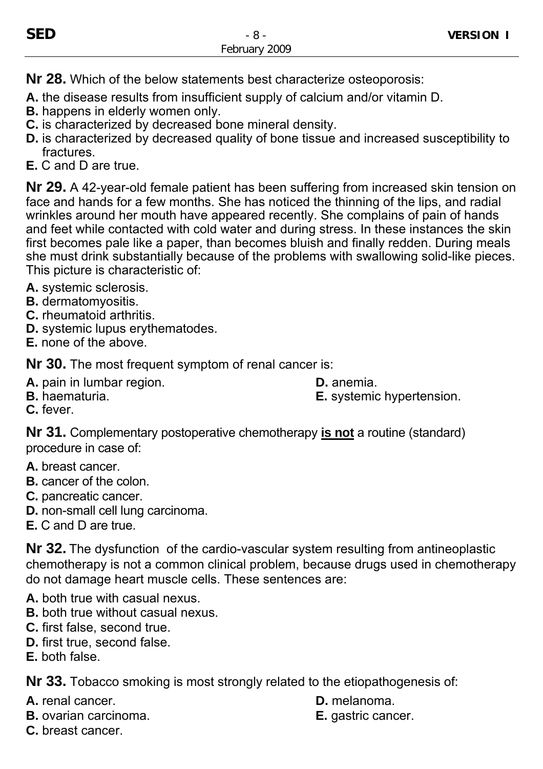**Nr 28.** Which of the below statements best characterize osteoporosis:

**A.** the disease results from insufficient supply of calcium and/or vitamin D.

- **B.** happens in elderly women only.
- **C.** is characterized by decreased bone mineral density.
- **D.** is characterized by decreased quality of bone tissue and increased susceptibility to fractures.
- **E.** C and D are true.

**Nr 29.** A 42-year-old female patient has been suffering from increased skin tension on face and hands for a few months. She has noticed the thinning of the lips, and radial wrinkles around her mouth have appeared recently. She complains of pain of hands and feet while contacted with cold water and during stress. In these instances the skin first becomes pale like a paper, than becomes bluish and finally redden. During meals she must drink substantially because of the problems with swallowing solid-like pieces. This picture is characteristic of:

- **A.** systemic sclerosis.
- **B.** dermatomyositis.
- **C.** rheumatoid arthritis.
- **D.** systemic lupus erythematodes.
- **E.** none of the above.

**Nr 30.** The most frequent symptom of renal cancer is:

**A.** pain in lumbar region. **D.** anemia.<br> **B.** haematuria. **B.** haematuria. **D. E.** systemic

**E.** systemic hypertension.

**C.** fever.

**Nr 31.** Complementary postoperative chemotherapy **is not** a routine (standard) procedure in case of:

- **A.** breast cancer.
- **B.** cancer of the colon.
- **C.** pancreatic cancer.
- **D.** non-small cell lung carcinoma.

**E.** C and D are true.

**Nr 32.** The dysfunction of the cardio-vascular system resulting from antineoplastic chemotherapy is not a common clinical problem, because drugs used in chemotherapy do not damage heart muscle cells. These sentences are:

- **A.** both true with casual nexus.
- **B.** both true without casual nexus.
- **C.** first false, second true.
- **D.** first true, second false.
- **E.** both false.

**Nr 33.** Tobacco smoking is most strongly related to the etiopathogenesis of:

**A.** renal cancer. **D.** melanoma.

- **B.** ovarian carcinoma. **E.** gastric cancer.
- **C.** breast cancer.
- 
-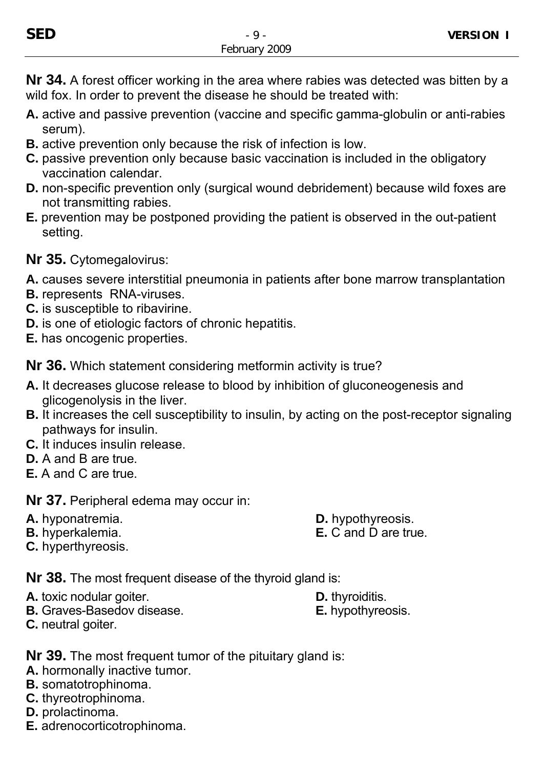**Nr 34.** A forest officer working in the area where rabies was detected was bitten by a wild fox. In order to prevent the disease he should be treated with:

- **A.** active and passive prevention (vaccine and specific gamma-globulin or anti-rabies serum).
- **B.** active prevention only because the risk of infection is low.
- **C.** passive prevention only because basic vaccination is included in the obligatory vaccination calendar.
- **D.** non-specific prevention only (surgical wound debridement) because wild foxes are not transmitting rabies.
- **E.** prevention may be postponed providing the patient is observed in the out-patient setting.

# **Nr 35.** Cytomegalovirus:

**A.** causes severe interstitial pneumonia in patients after bone marrow transplantation

- **B.** represents RNA-viruses.
- **C.** is susceptible to ribavirine.
- **D.** is one of etiologic factors of chronic hepatitis.
- **E.** has oncogenic properties.

**Nr 36.** Which statement considering metformin activity is true?

- **A.** It decreases glucose release to blood by inhibition of gluconeogenesis and glicogenolysis in the liver.
- **B.** It increases the cell susceptibility to insulin, by acting on the post-receptor signaling pathways for insulin.
- **C.** It induces insulin release.
- **D.** A and B are true.
- **E.** A and C are true.

# **Nr 37.** Peripheral edema may occur in:

- **A.** hyponatremia. **D.** hypothyreosis.
- **B.** hyperkalemia. **E.** C and D are true.
- -

**C.** hyperthyreosis.

**Nr 38.** The most frequent disease of the thyroid gland is:

- 
- **A.** toxic nodular goiter. **D.** thyroiditis.<br> **B.** Graves-Basedov disease. **D. E.** hypothyreosis. **B.** Graves-Basedov disease.
- -

**C.** neutral goiter.

**Nr 39.** The most frequent tumor of the pituitary gland is:

- **A.** hormonally inactive tumor.
- **B.** somatotrophinoma.
- **C.** thyreotrophinoma.
- **D.** prolactinoma.
- **E.** adrenocorticotrophinoma.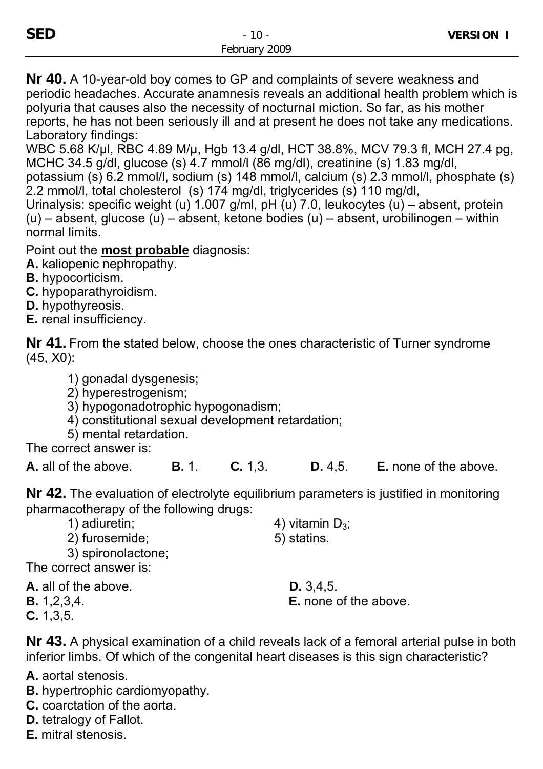**Nr 40.** A 10-year-old boy comes to GP and complaints of severe weakness and periodic headaches. Accurate anamnesis reveals an additional health problem which is polyuria that causes also the necessity of nocturnal miction. So far, as his mother reports, he has not been seriously ill and at present he does not take any medications. Laboratory findings:

WBC 5.68 K/μl, RBC 4.89 M/μ, Hgb 13.4 g/dl, HCT 38.8%, MCV 79.3 fl, MCH 27.4 pg, MCHC 34.5 g/dl, glucose (s) 4.7 mmol/l (86 mg/dl), creatinine (s) 1.83 mg/dl,

potassium (s) 6.2 mmol/l, sodium (s) 148 mmol/l, calcium (s) 2.3 mmol/l, phosphate (s) 2.2 mmol/l, total cholesterol (s) 174 mg/dl, triglycerides (s) 110 mg/dl,

Urinalysis: specific weight (u) 1.007 g/ml, pH (u) 7.0, leukocytes (u) – absent, protein (u) – absent, glucose (u) – absent, ketone bodies (u) – absent, urobilinogen – within normal limits.

Point out the **most probable** diagnosis:

- **A.** kaliopenic nephropathy.
- **B.** hypocorticism.
- **C.** hypoparathyroidism.
- **D.** hypothyreosis.
- **E.** renal insufficiency.

**Nr 41.** From the stated below, choose the ones characteristic of Turner syndrome (45, X0):

1) gonadal dysgenesis;

2) hyperestrogenism;

3) hypogonadotrophic hypogonadism;

- 4) constitutional sexual development retardation;
- 5) mental retardation.

The correct answer is:

**A.** all of the above. **B.** 1. **C.** 1,3. **D.** 4,5. **E.** none of the above.

**Nr 42.** The evaluation of electrolyte equilibrium parameters is justified in monitoring pharmacotherapy of the following drugs:

| 1) adiuretin;          | 4) vitamin $D_3$ ; |
|------------------------|--------------------|
| 2) furosemide;         | 5) statins.        |
| 3) spironolactone;     |                    |
| The correct answer is: |                    |

- **A.** all of the above. **D.** 3,4,5.
- 
- **C.** 1,3,5.

**B.** 1,2,3,4. **E.** none of the above.

**Nr 43.** A physical examination of a child reveals lack of a femoral arterial pulse in both inferior limbs. Of which of the congenital heart diseases is this sign characteristic?

- **A.** aortal stenosis.
- **B.** hypertrophic cardiomyopathy.
- **C.** coarctation of the aorta.
- **D.** tetralogy of Fallot.
- **E.** mitral stenosis.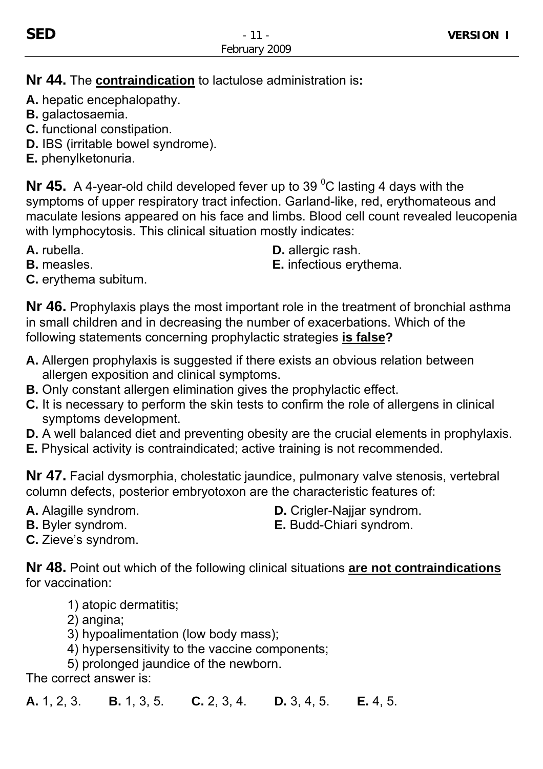### **Nr 44.** The **contraindication** to lactulose administration is**:**

- **A.** hepatic encephalopathy.
- **B.** galactosaemia.
- **C.** functional constipation.
- **D.** IBS (irritable bowel syndrome).
- **E.** phenylketonuria.

**Nr 45.** A 4-year-old child developed fever up to 39  $^{\circ}$ C lasting 4 days with the symptoms of upper respiratory tract infection. Garland-like, red, erythomateous and maculate lesions appeared on his face and limbs. Blood cell count revealed leucopenia with lymphocytosis. This clinical situation mostly indicates:

- 
- 

**A.** rubella. **D.** allergic rash.

**B.** measles. **E.** infectious erythema.

**C.** erythema subitum.

**Nr 46.** Prophylaxis plays the most important role in the treatment of bronchial asthma in small children and in decreasing the number of exacerbations. Which of the following statements concerning prophylactic strategies **is false?**

- **A.** Allergen prophylaxis is suggested if there exists an obvious relation between allergen exposition and clinical symptoms.
- **B.** Only constant allergen elimination gives the prophylactic effect.
- **C.** It is necessary to perform the skin tests to confirm the role of allergens in clinical symptoms development.
- **D.** A well balanced diet and preventing obesity are the crucial elements in prophylaxis.
- **E.** Physical activity is contraindicated; active training is not recommended.

**Nr 47.** Facial dysmorphia, cholestatic jaundice, pulmonary valve stenosis, vertebral column defects, posterior embryotoxon are the characteristic features of:

- 
- A. Alagille syndrom. **D. Crigler-Najjar syndrom.**
- 
- **B.** Byler syndrom. **E.** Budd-Chiari syndrom.
- **C.** Zieve's syndrom.

**Nr 48.** Point out which of the following clinical situations **are not contraindications** for vaccination:

- 1) atopic dermatitis;
- 2) angina;
- 3) hypoalimentation (low body mass);
- 4) hypersensitivity to the vaccine components;
- 5) prolonged jaundice of the newborn.

The correct answer is:

**A.** 1, 2, 3. **B.** 1, 3, 5. **C.** 2, 3, 4. **D.** 3, 4, 5. **E.** 4, 5.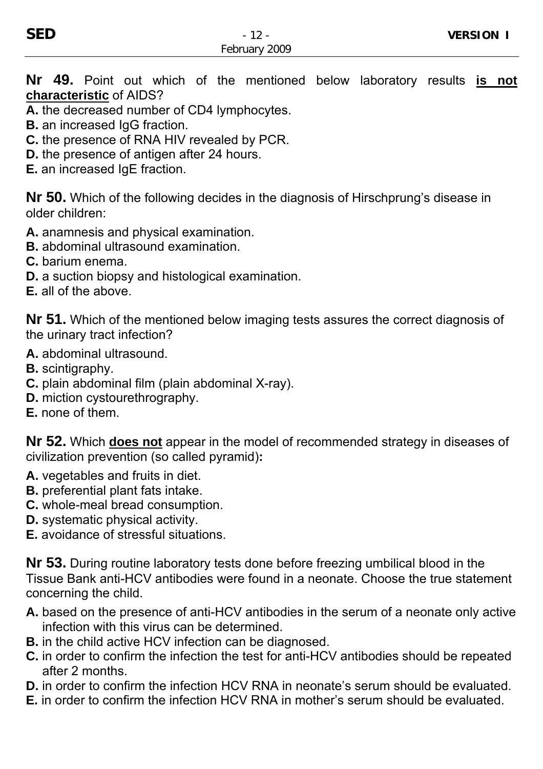**Nr 49.** Point out which of the mentioned below laboratory results **is not characteristic** of AIDS?

**A.** the decreased number of CD4 lymphocytes.

**B.** an increased IgG fraction.

**C.** the presence of RNA HIV revealed by PCR.

**D.** the presence of antigen after 24 hours.

**E.** an increased IgE fraction.

**Nr 50.** Which of the following decides in the diagnosis of Hirschprung's disease in older children:

- **A.** anamnesis and physical examination.
- **B.** abdominal ultrasound examination.
- **C.** barium enema.
- **D.** a suction biopsy and histological examination.

**E.** all of the above.

**Nr 51.** Which of the mentioned below imaging tests assures the correct diagnosis of the urinary tract infection?

- **A.** abdominal ultrasound.
- **B.** scintigraphy.
- **C.** plain abdominal film (plain abdominal X-ray).
- **D.** miction cystourethrography.
- **E.** none of them.

**Nr 52.** Which **does not** appear in the model of recommended strategy in diseases of civilization prevention (so called pyramid)**:**

- **A.** vegetables and fruits in diet.
- **B.** preferential plant fats intake.
- **C.** whole-meal bread consumption.
- **D.** systematic physical activity.
- **E.** avoidance of stressful situations.

**Nr 53.** During routine laboratory tests done before freezing umbilical blood in the Tissue Bank anti-HCV antibodies were found in a neonate. Choose the true statement concerning the child.

- **A.** based on the presence of anti-HCV antibodies in the serum of a neonate only active infection with this virus can be determined.
- **B.** in the child active HCV infection can be diagnosed.
- **C.** in order to confirm the infection the test for anti-HCV antibodies should be repeated after 2 months.
- **D.** in order to confirm the infection HCV RNA in neonate's serum should be evaluated.
- **E.** in order to confirm the infection HCV RNA in mother's serum should be evaluated.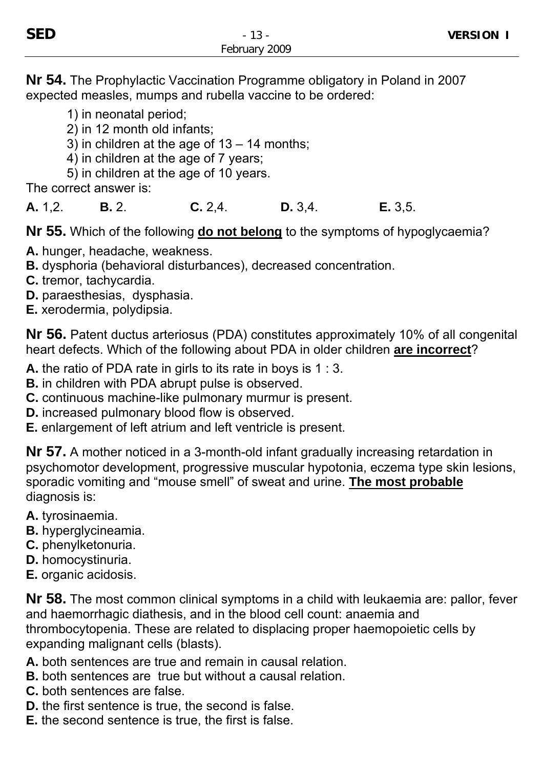| <b>VERSION I</b> |  |
|------------------|--|
|------------------|--|

**Nr 54.** The Prophylactic Vaccination Programme obligatory in Poland in 2007 expected measles, mumps and rubella vaccine to be ordered:

- 1) in neonatal period;
- 2) in 12 month old infants;
- 3) in children at the age of  $13 14$  months;
- 4) in children at the age of 7 years;
- 5) in children at the age of 10 years.

The correct answer is:

**A.** 1,2. **B.** 2. **C.** 2,4. **D.** 3,4. **E.** 3,5.

**Nr 55.** Which of the following **do not belong** to the symptoms of hypoglycaemia?

- **A.** hunger, headache, weakness.
- **B.** dysphoria (behavioral disturbances), decreased concentration.
- **C.** tremor, tachycardia.
- **D.** paraesthesias, dysphasia.
- **E.** xerodermia, polydipsia.

**Nr 56.** Patent ductus arteriosus (PDA) constitutes approximately 10% of all congenital heart defects. Which of the following about PDA in older children **are incorrect**?

**A.** the ratio of PDA rate in girls to its rate in boys is 1 : 3.

**B.** in children with PDA abrupt pulse is observed.

**C.** continuous machine-like pulmonary murmur is present.

- **D.** increased pulmonary blood flow is observed.
- **E.** enlargement of left atrium and left ventricle is present.

**Nr 57.** A mother noticed in a 3-month-old infant gradually increasing retardation in psychomotor development, progressive muscular hypotonia, eczema type skin lesions, sporadic vomiting and "mouse smell" of sweat and urine. **The most probable** diagnosis is:

- **A.** tyrosinaemia.
- **B.** hyperglycineamia.
- **C.** phenylketonuria.
- **D.** homocystinuria.
- **E.** organic acidosis.

**Nr 58.** The most common clinical symptoms in a child with leukaemia are: pallor, fever and haemorrhagic diathesis, and in the blood cell count: anaemia and thrombocytopenia. These are related to displacing proper haemopoietic cells by expanding malignant cells (blasts).

- **A.** both sentences are true and remain in causal relation.
- **B.** both sentences are true but without a causal relation.
- **C.** both sentences are false.
- **D.** the first sentence is true, the second is false.
- **E.** the second sentence is true, the first is false.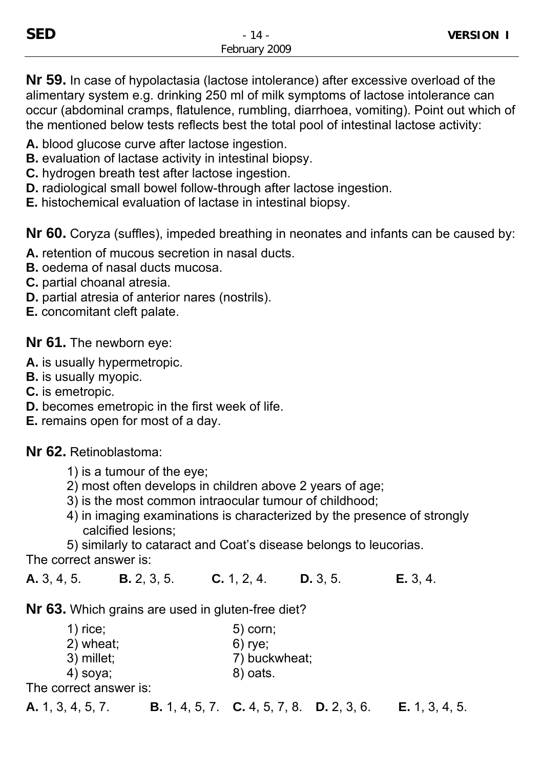**Nr 59.** In case of hypolactasia (lactose intolerance) after excessive overload of the alimentary system e.g. drinking 250 ml of milk symptoms of lactose intolerance can occur (abdominal cramps, flatulence, rumbling, diarrhoea, vomiting). Point out which of the mentioned below tests reflects best the total pool of intestinal lactose activity:

- **A.** blood glucose curve after lactose ingestion.
- **B.** evaluation of lactase activity in intestinal biopsy.
- **C.** hydrogen breath test after lactose ingestion.
- **D.** radiological small bowel follow-through after lactose ingestion.
- **E.** histochemical evaluation of lactase in intestinal biopsy.

**Nr 60.** Coryza (suffles), impeded breathing in neonates and infants can be caused by:

**A.** retention of mucous secretion in nasal ducts.

- **B.** oedema of nasal ducts mucosa.
- **C.** partial choanal atresia.
- **D.** partial atresia of anterior nares (nostrils).
- **E.** concomitant cleft palate.

**Nr 61.** The newborn eye:

- **A.** is usually hypermetropic.
- **B.** is usually myopic.
- **C.** is emetropic.
- **D.** becomes emetropic in the first week of life.
- **E.** remains open for most of a day.

**Nr 62.** Retinoblastoma:

- 1) is a tumour of the eye;
- 2) most often develops in children above 2 years of age;
- 3) is the most common intraocular tumour of childhood;
- 4) in imaging examinations is characterized by the presence of strongly calcified lesions;

5) similarly to cataract and Coat's disease belongs to leucorias. The correct answer is:

**A.** 3, 4, 5. **B.** 2, 3, 5. **C.** 1, 2, 4. **D.** 3, 5. **E.** 3, 4.

**Nr 63.** Which grains are used in gluten-free diet?

| $1)$ rice;             | $5)$ corn;    |  |
|------------------------|---------------|--|
| $2)$ wheat;            | $6)$ rye;     |  |
| 3) millet;             | 7) buckwheat; |  |
| $4)$ soya;             | 8) oats.      |  |
| The correct answer is: |               |  |

**A.** 1, 3, 4, 5, 7. **B.** 1, 4, 5, 7. **C.** 4, 5, 7, 8. **D.** 2, 3, 6. **E.** 1, 3, 4, 5.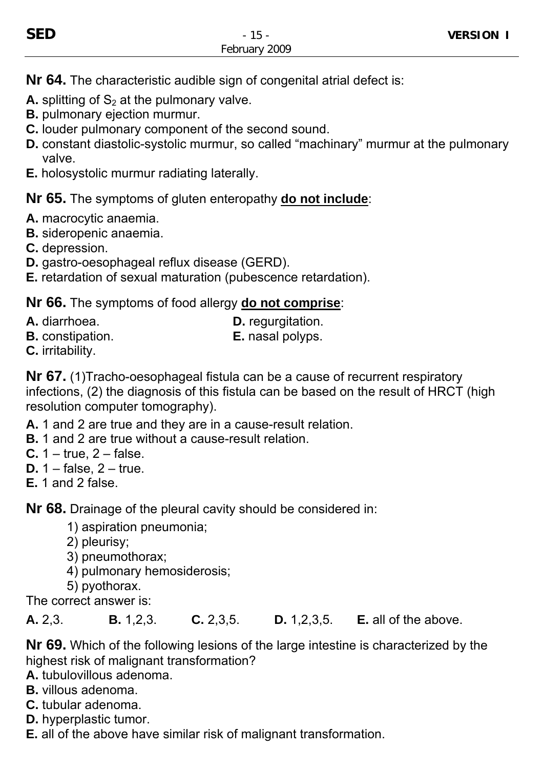**Nr 64.** The characteristic audible sign of congenital atrial defect is:

- **A.** splitting of  $S_2$  at the pulmonary valve.
- **B.** pulmonary ejection murmur.
- **C.** louder pulmonary component of the second sound.
- **D.** constant diastolic-systolic murmur, so called "machinary" murmur at the pulmonary valve.
- **E.** holosystolic murmur radiating laterally.

# **Nr 65.** The symptoms of gluten enteropathy **do not include**:

- **A.** macrocytic anaemia.
- **B.** sideropenic anaemia.
- **C.** depression.
- **D.** gastro-oesophageal reflux disease (GERD).
- **E.** retardation of sexual maturation (pubescence retardation).

# **Nr 66.** The symptoms of food allergy **do not comprise**:

- 
- **A.** diarrhoea. **D.** regurgitation.
- **B.** constipation. **E.** nasal polyps.
	-

**C.** irritability.

**Nr 67.** (1)Tracho-oesophageal fistula can be a cause of recurrent respiratory infections, (2) the diagnosis of this fistula can be based on the result of HRCT (high resolution computer tomography).

- **A.** 1 and 2 are true and they are in a cause-result relation.
- **B.** 1 and 2 are true without a cause-result relation.
- **C.** 1 true, 2 false.
- **D.** 1 false, 2 true.
- **E.** 1 and 2 false.

**Nr 68.** Drainage of the pleural cavity should be considered in:

- 1) aspiration pneumonia;
- 2) pleurisy;
- 3) pneumothorax;
- 4) pulmonary hemosiderosis;
- 5) pyothorax.

The correct answer is:

**A.** 2,3. **B.** 1,2,3. **C.** 2,3,5. **D.** 1,2,3,5. **E.** all of the above.

**Nr 69.** Which of the following lesions of the large intestine is characterized by the highest risk of malignant transformation?

- **A.** tubulovillous adenoma.
- **B.** villous adenoma.
- **C.** tubular adenoma.
- **D.** hyperplastic tumor.
- **E.** all of the above have similar risk of malignant transformation.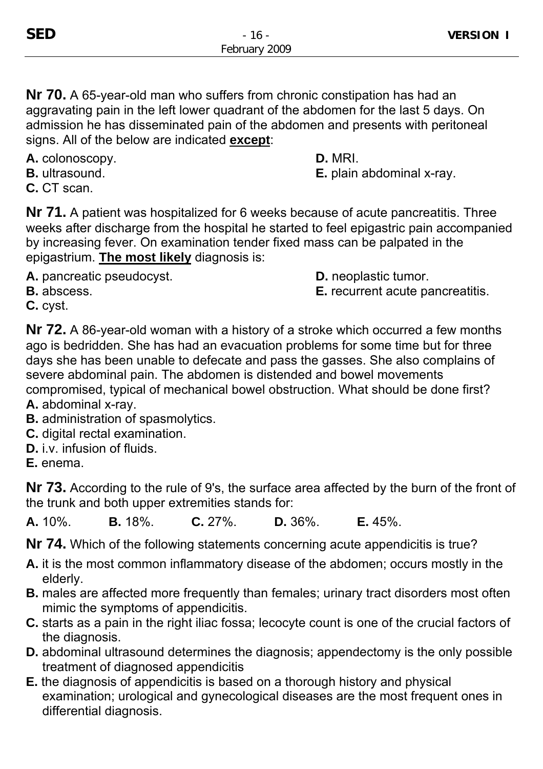**Nr 70.** A 65-year-old man who suffers from chronic constipation has had an aggravating pain in the left lower quadrant of the abdomen for the last 5 days. On admission he has disseminated pain of the abdomen and presents with peritoneal signs. All of the below are indicated **except**:

- **A.** colonoscopy. **D.** MRI.<br>**B.** ultrasound. **E.** plain
- 
- **C.** CT scan.

**Nr 71.** A patient was hospitalized for 6 weeks because of acute pancreatitis. Three weeks after discharge from the hospital he started to feel epigastric pain accompanied by increasing fever. On examination tender fixed mass can be palpated in the epigastrium. **The most likely** diagnosis is:

**A.** pancreatic pseudocyst. **D.** neoplastic tumor.

**E.** plain abdominal x-ray.

**B.** abscess. **E.** recurrent acute pancreatitis.

**C.** cyst.

**Nr 72.** A 86-year-old woman with a history of a stroke which occurred a few months ago is bedridden. She has had an evacuation problems for some time but for three days she has been unable to defecate and pass the gasses. She also complains of severe abdominal pain. The abdomen is distended and bowel movements compromised, typical of mechanical bowel obstruction. What should be done first?

- **A.** abdominal x-ray.
- **B.** administration of spasmolytics.
- **C.** digital rectal examination.
- **D.** i.v. infusion of fluids.
- **E.** enema.

**Nr 73.** According to the rule of 9's, the surface area affected by the burn of the front of the trunk and both upper extremities stands for:

**A.** 10%. **B.** 18%. **C.** 27%. **D.** 36%. **E.** 45%.

**Nr 74.** Which of the following statements concerning acute appendicitis is true?

- **A.** it is the most common inflammatory disease of the abdomen; occurs mostly in the elderly.
- **B.** males are affected more frequently than females; urinary tract disorders most often mimic the symptoms of appendicitis.
- **C.** starts as a pain in the right iliac fossa; lecocyte count is one of the crucial factors of the diagnosis.
- **D.** abdominal ultrasound determines the diagnosis; appendectomy is the only possible treatment of diagnosed appendicitis
- **E.** the diagnosis of appendicitis is based on a thorough history and physical examination; urological and gynecological diseases are the most frequent ones in differential diagnosis.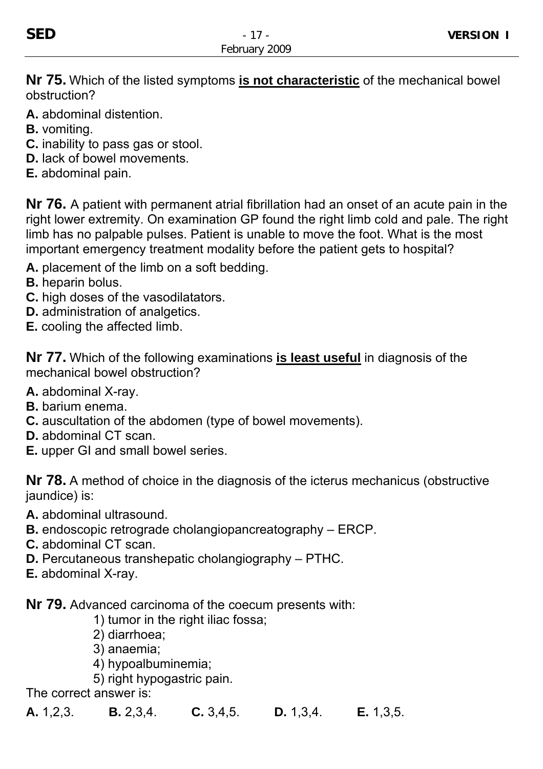**Nr 75.** Which of the listed symptoms **is not characteristic** of the mechanical bowel obstruction?

- **A.** abdominal distention.
- **B.** vomiting.
- **C.** inability to pass gas or stool.
- **D.** lack of bowel movements.
- **E.** abdominal pain.

**Nr 76.** A patient with permanent atrial fibrillation had an onset of an acute pain in the right lower extremity. On examination GP found the right limb cold and pale. The right limb has no palpable pulses. Patient is unable to move the foot. What is the most important emergency treatment modality before the patient gets to hospital?

- **A.** placement of the limb on a soft bedding.
- **B.** heparin bolus.
- **C.** high doses of the vasodilatators.
- **D.** administration of analgetics.
- **E.** cooling the affected limb.

**Nr 77.** Which of the following examinations **is least useful** in diagnosis of the mechanical bowel obstruction?

- **A.** abdominal X-ray.
- **B.** barium enema.
- **C.** auscultation of the abdomen (type of bowel movements).
- **D.** abdominal CT scan.
- **E.** upper GI and small bowel series.

**Nr 78.** A method of choice in the diagnosis of the icterus mechanicus (obstructive jaundice) is:

- **A.** abdominal ultrasound.
- **B.** endoscopic retrograde cholangiopancreatography ERCP.
- **C.** abdominal CT scan.
- **D.** Percutaneous transhepatic cholangiography PTHC.
- **E.** abdominal X-ray.

**Nr 79.** Advanced carcinoma of the coecum presents with:

- 1) tumor in the right iliac fossa;
- 2) diarrhoea;
- 3) anaemia;
- 4) hypoalbuminemia;
- 5) right hypogastric pain.

The correct answer is:

**A.** 1,2,3. **B.** 2,3,4. **C.** 3,4,5. **D.** 1,3,4. **E.** 1,3,5.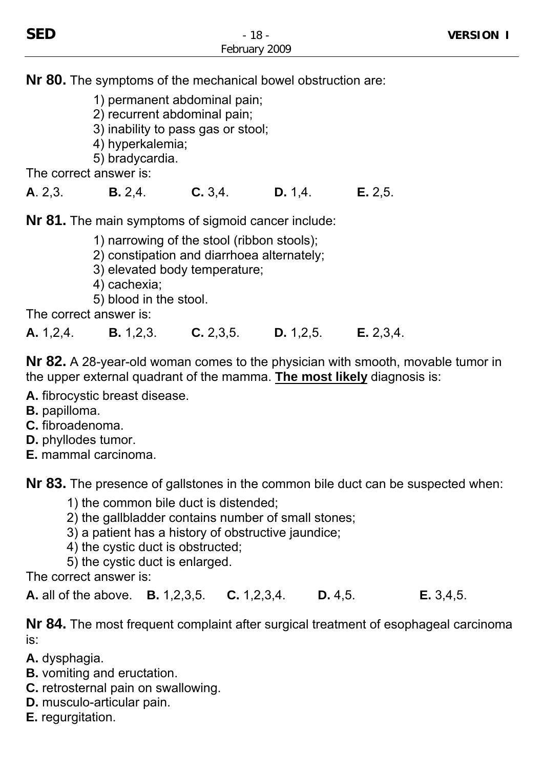| <b>VERSION I</b> |
|------------------|
|                  |

**Nr 80.** The symptoms of the mechanical bowel obstruction are:

1) permanent abdominal pain;

2) recurrent abdominal pain;

3) inability to pass gas or stool;

4) hyperkalemia;

5) bradycardia.

The correct answer is:

**A**. 2,3. **B.** 2,4. **C.** 3,4. **D.** 1,4. **E.** 2,5.

**Nr 81.** The main symptoms of sigmoid cancer include:

1) narrowing of the stool (ribbon stools);

2) constipation and diarrhoea alternately;

3) elevated body temperature;

4) cachexia;

5) blood in the stool.

The correct answer is:

#### **A.** 1,2,4. **B.** 1,2,3. **C.** 2,3,5. **D.** 1,2,5. **E.** 2,3,4.

**Nr 82.** A 28-year-old woman comes to the physician with smooth, movable tumor in the upper external quadrant of the mamma. **The most likely** diagnosis is:

**A.** fibrocystic breast disease.

**B.** papilloma.

**C.** fibroadenoma.

- **D.** phyllodes tumor.
- **E.** mammal carcinoma.

**Nr 83.** The presence of gallstones in the common bile duct can be suspected when:

- 1) the common bile duct is distended;
- 2) the gallbladder contains number of small stones;
- 3) a patient has a history of obstructive jaundice;
- 4) the cystic duct is obstructed;
- 5) the cystic duct is enlarged.

The correct answer is:

**A.** all of the above. **B.** 1,2,3,5. **C.** 1,2,3,4. **D.** 4,5. **E.** 3,4,5.

**Nr 84.** The most frequent complaint after surgical treatment of esophageal carcinoma is:

**A.** dysphagia.

- **B.** vomiting and eructation.
- **C.** retrosternal pain on swallowing.
- **D.** musculo-articular pain.
- **E.** regurgitation.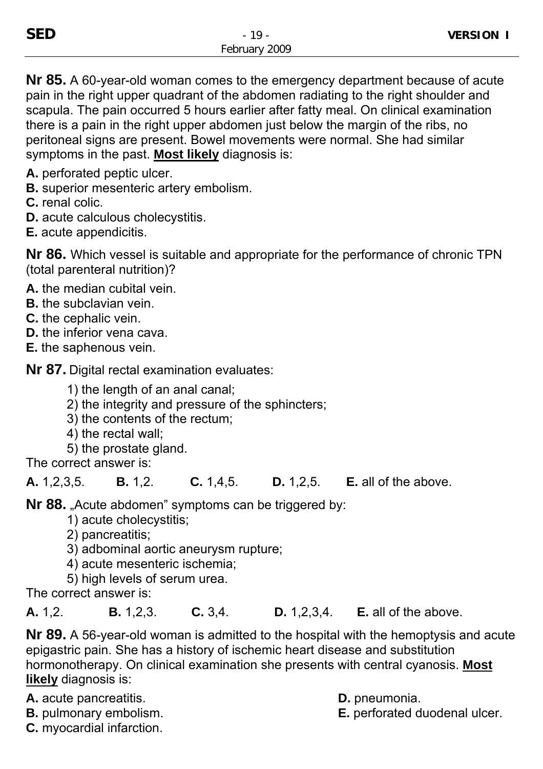**Nr 85.** A 60-year-old woman comes to the emergency department because of acute pain in the right upper quadrant of the abdomen radiating to the right shoulder and scapula. The pain occurred 5 hours earlier after fatty meal. On clinical examination there is a pain in the right upper abdomen just below the margin of the ribs, no peritoneal signs are present. Bowel movements were normal. She had similar symptoms in the past. **Most likely** diagnosis is:

**A.** perforated peptic ulcer.

**B.** superior mesenteric artery embolism.

**C.** renal colic.

**D.** acute calculous cholecystitis.

**E.** acute appendicitis.

**Nr 86.** Which vessel is suitable and appropriate for the performance of chronic TPN (total parenteral nutrition)?

**A.** the median cubital vein.

**B.** the subclavian vein.

**C.** the cephalic vein.

**D.** the inferior vena cava.

**E.** the saphenous vein.

**Nr 87.** Digital rectal examination evaluates:

1) the length of an anal canal;

2) the integrity and pressure of the sphincters;

3) the contents of the rectum;

4) the rectal wall;

5) the prostate gland.

The correct answer is:

**A.** 1,2,3,5. **B.** 1,2. **C.** 1,4,5. **D.** 1,2,5. **E.** all of the above.

**Nr 88.** "Acute abdomen" symptoms can be triggered by:

- 1) acute cholecystitis;
- 2) pancreatitis;
- 3) adbominal aortic aneurysm rupture;
- 4) acute mesenteric ischemia;
- 5) high levels of serum urea.

The correct answer is:

**A.** 1,2. **B.** 1,2,3. **C.** 3,4. **D.** 1,2,3,4. **E.** all of the above.

**Nr 89.** A 56-year-old woman is admitted to the hospital with the hemoptysis and acute epigastric pain. She has a history of ischemic heart disease and substitution hormonotherapy. On clinical examination she presents with central cyanosis. **Most likely** diagnosis is:

**A.** acute pancreatitis. **D.** pneumonia.

**C.** myocardial infarction.

- 
- **B.** pulmonary embolism. **E.** perforated duodenal ulcer.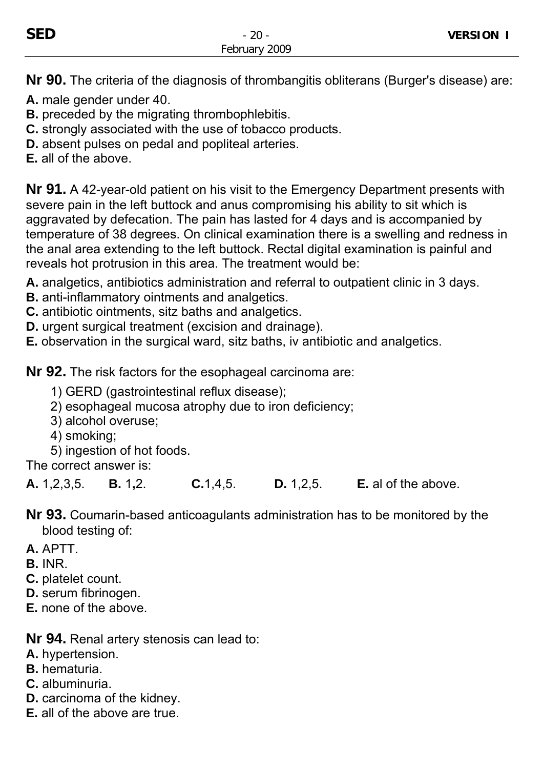**Nr 90.** The criteria of the diagnosis of thrombangitis obliterans (Burger's disease) are:

- **A.** male gender under 40.
- **B.** preceded by the migrating thrombophlebitis.
- **C.** strongly associated with the use of tobacco products.
- **D.** absent pulses on pedal and popliteal arteries.
- **E.** all of the above.

**Nr 91.** A 42-year-old patient on his visit to the Emergency Department presents with severe pain in the left buttock and anus compromising his ability to sit which is aggravated by defecation. The pain has lasted for 4 days and is accompanied by temperature of 38 degrees. On clinical examination there is a swelling and redness in the anal area extending to the left buttock. Rectal digital examination is painful and reveals hot protrusion in this area. The treatment would be:

- **A.** analgetics, antibiotics administration and referral to outpatient clinic in 3 days.
- **B.** anti-inflammatory ointments and analgetics.
- **C.** antibiotic ointments, sitz baths and analgetics.
- **D.** urgent surgical treatment (excision and drainage).

**E.** observation in the surgical ward, sitz baths, iv antibiotic and analgetics.

**Nr 92.** The risk factors for the esophageal carcinoma are:

- 1) GERD (gastrointestinal reflux disease);
- 2) esophageal mucosa atrophy due to iron deficiency;
- 3) alcohol overuse;
- 4) smoking;
- 5) ingestion of hot foods.

The correct answer is:

**A.** 1,2,3,5. **B.** 1**,**2. **C.**1,4,5. **D.** 1,2,5. **E.** al of the above.

- **Nr 93.** Coumarin-based anticoagulants administration has to be monitored by the blood testing of:
- **A.** APTT.
- **B.** INR.
- **C.** platelet count.
- **D.** serum fibrinogen.
- **E.** none of the above.

#### **Nr 94.** Renal artery stenosis can lead to:

- **A.** hypertension.
- **B.** hematuria.
- **C.** albuminuria.
- **D.** carcinoma of the kidney.
- **E.** all of the above are true.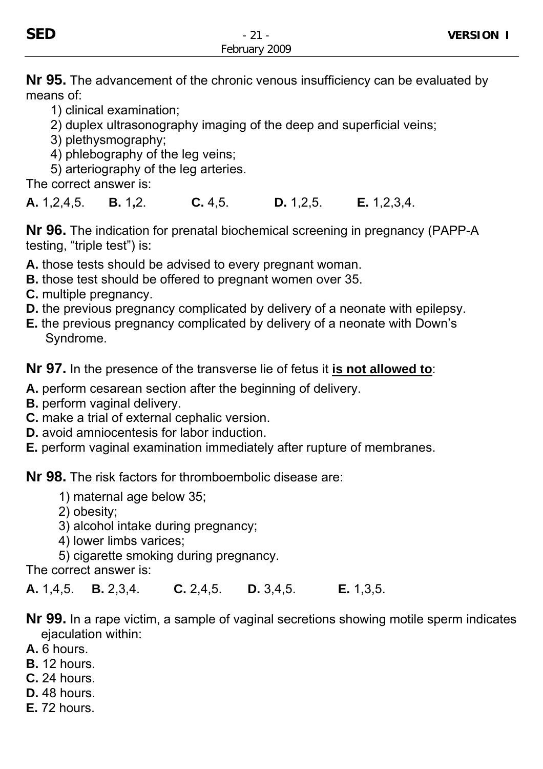| <b>VERSION I</b> |  |
|------------------|--|
|------------------|--|

February 2009

**Nr 95.** The advancement of the chronic venous insufficiency can be evaluated by means of:

1) clinical examination;

2) duplex ultrasonography imaging of the deep and superficial veins;

3) plethysmography;

4) phlebography of the leg veins;

5) arteriography of the leg arteries.

The correct answer is:

**A.** 1,2,4,5. **B.** 1**,**2. **C.** 4,5. **D.** 1,2,5. **E.** 1,2,3,4.

**Nr 96.** The indication for prenatal biochemical screening in pregnancy (PAPP-A testing, "triple test") is:

**A.** those tests should be advised to every pregnant woman.

**B.** those test should be offered to pregnant women over 35.

**C.** multiple pregnancy.

**D.** the previous pregnancy complicated by delivery of a neonate with epilepsy.

**E.** the previous pregnancy complicated by delivery of a neonate with Down's Syndrome.

**Nr 97.** In the presence of the transverse lie of fetus it **is not allowed to**:

**A.** perform cesarean section after the beginning of delivery.

- **B.** perform vaginal delivery.
- **C.** make a trial of external cephalic version.
- **D.** avoid amniocentesis for labor induction.
- **E.** perform vaginal examination immediately after rupture of membranes.

**Nr 98.** The risk factors for thromboembolic disease are:

- 1) maternal age below 35;
- 2) obesity;
- 3) alcohol intake during pregnancy;
- 4) lower limbs varices;
- 5) cigarette smoking during pregnancy.

The correct answer is:

**A.** 1,4,5. **B.** 2,3,4. **C.** 2,4,5. **D.** 3,4,5. **E.** 1,3,5.

**Nr 99.** In a rape victim, a sample of vaginal secretions showing motile sperm indicates ejaculation within:

**A.** 6 hours.

- **B.** 12 hours.
- **C.** 24 hours.
- **D.** 48 hours.
- **E.** 72 hours.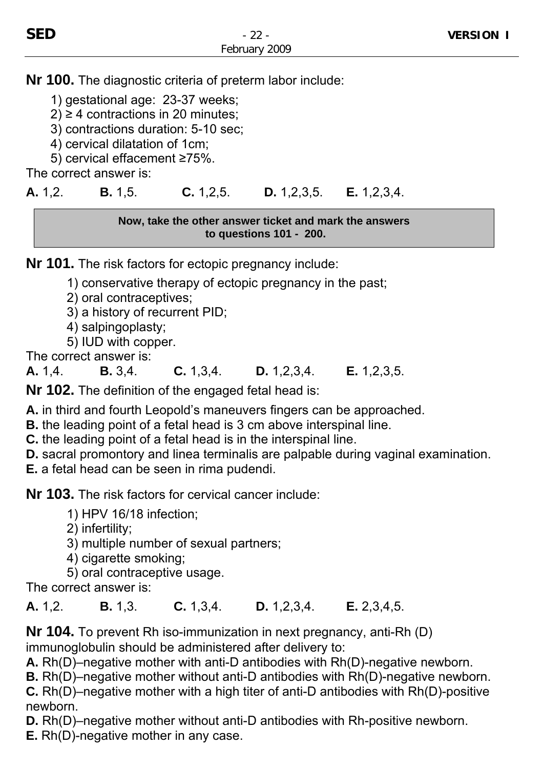#### **Nr 100.** The diagnostic criteria of preterm labor include:

- 1) gestational age: 23-37 weeks;
- $2) \geq 4$  contractions in 20 minutes;

3) contractions duration: 5-10 sec;

4) cervical dilatation of 1cm;

5) cervical effacement ≥75%.

The correct answer is:

### **A.** 1,2. **B.** 1,5. **C.** 1,2,5. **D.** 1,2,3,5. **E.** 1,2,3,4.

#### **Now, take the other answer ticket and mark the answers to questions 101 - 200.**

**Nr 101.** The risk factors for ectopic pregnancy include:

1) conservative therapy of ectopic pregnancy in the past;

- 2) oral contraceptives;
- 3) a history of recurrent PID;
- 4) salpingoplasty;
- 5) IUD with copper.

The correct answer is:

**A.** 1,4. **B.** 3,4. **C.** 1,3,4. **D.** 1,2,3,4. **E.** 1,2,3,5.

**Nr 102.** The definition of the engaged fetal head is:

**A.** in third and fourth Leopold's maneuvers fingers can be approached.

**B.** the leading point of a fetal head is 3 cm above interspinal line.

**C.** the leading point of a fetal head is in the interspinal line.

**D.** sacral promontory and linea terminalis are palpable during vaginal examination.

**E.** a fetal head can be seen in rima pudendi.

**Nr 103.** The risk factors for cervical cancer include:

1) HPV 16/18 infection;

2) infertility;

3) multiple number of sexual partners;

4) cigarette smoking;

5) oral contraceptive usage.

The correct answer is:

**A.** 1,2. **B.** 1,3. **C.** 1,3,4. **D.** 1,2,3,4. **E.** 2,3,4,5.

**Nr 104.** To prevent Rh iso-immunization in next pregnancy, anti-Rh (D) immunoglobulin should be administered after delivery to:

**A.** Rh(D)–negative mother with anti-D antibodies with Rh(D)-negative newborn.

**B.** Rh(D)–negative mother without anti-D antibodies with Rh(D)-negative newborn.

**C.** Rh(D)–negative mother with a high titer of anti-D antibodies with Rh(D)-positive newborn.

**D.** Rh(D)–negative mother without anti-D antibodies with Rh-positive newborn.

**E.** Rh(D)-negative mother in any case.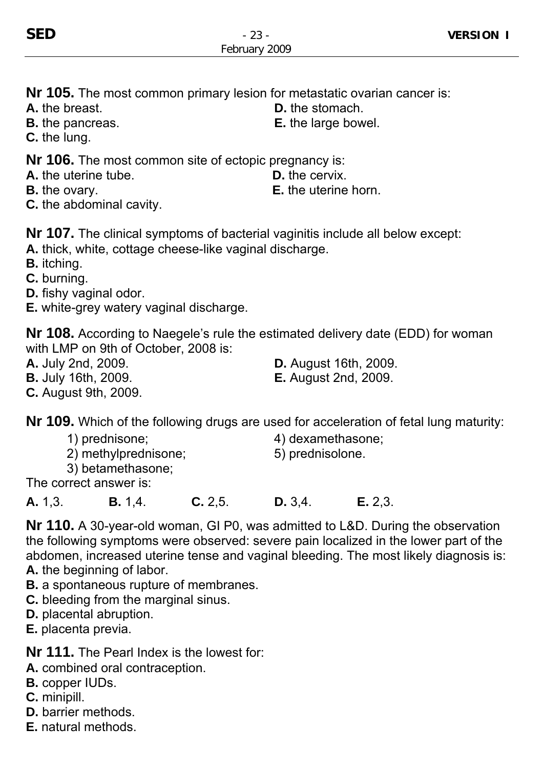| Nr 105. The most common primary lesion for metastatic ovarian cancer is: |                            |
|--------------------------------------------------------------------------|----------------------------|
| A. the breast.                                                           | <b>D.</b> the stomach.     |
| <b>B.</b> the pancreas.                                                  | <b>E.</b> the large bowel. |

**C.** the lung.

**Nr 106.** The most common site of ectopic pregnancy is:

- **A.** the uterine tube. **D.** the cervix.
- **B.** the ovary. **E.** the uterine horn.
- **C.** the abdominal cavity.

**Nr 107.** The clinical symptoms of bacterial vaginitis include all below except: **A.** thick, white, cottage cheese-like vaginal discharge.

- **B.** itching.
- **C.** burning.
- **D.** fishy vaginal odor.
- **E.** white-grey watery vaginal discharge.

**Nr 108.** According to Naegele's rule the estimated delivery date (EDD) for woman with LMP on 9th of October, 2008 is:

**A.** July 2nd, 2009. **D.** August 16th, 2009.

**B.** July 16th, 2009. **E.** August 2nd, 2009.

**C.** August 9th, 2009.

**Nr 109.** Which of the following drugs are used for acceleration of fetal lung maturity:

- 
- 1) prednisone; example and a dexamethasone;
- 2) methylprednisone; 6) prednisolone.
	-
- 

3) betamethasone;

The correct answer is:

**A.** 1,3. **B.** 1,4. **C.** 2,5. **D.** 3,4. **E.** 2,3.

**Nr 110.** A 30-year-old woman, GI P0, was admitted to L&D. During the observation the following symptoms were observed: severe pain localized in the lower part of the abdomen, increased uterine tense and vaginal bleeding. The most likely diagnosis is: **A.** the beginning of labor.

- **B.** a spontaneous rupture of membranes.
- **C.** bleeding from the marginal sinus.
- **D.** placental abruption.
- **E.** placenta previa.

**Nr 111.** The Pearl Index is the lowest for:

- **A.** combined oral contraception.
- **B.** copper IUDs.
- **C.** minipill.
- **D.** barrier methods.
- **E.** natural methods.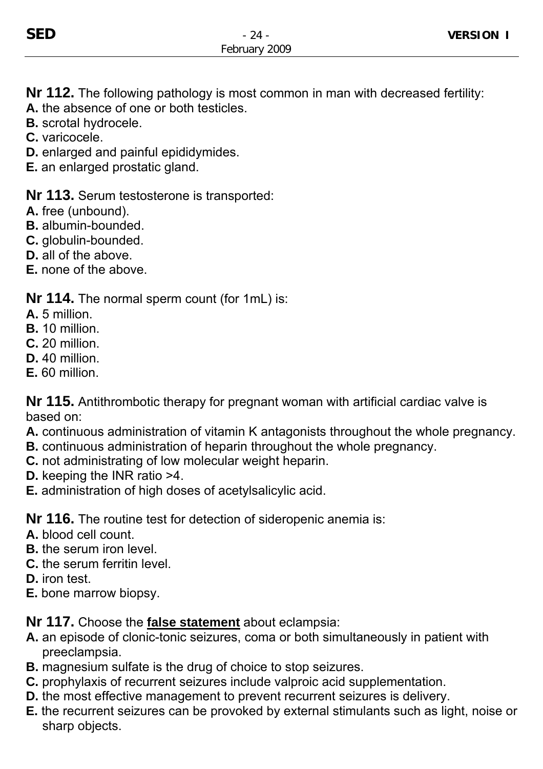**Nr 112.** The following pathology is most common in man with decreased fertility:

- **A.** the absence of one or both testicles.
- **B.** scrotal hydrocele.
- **C.** varicocele.
- **D.** enlarged and painful epididymides.
- **E.** an enlarged prostatic gland.

### **Nr 113.** Serum testosterone is transported:

- **A.** free (unbound).
- **B.** albumin-bounded.
- **C.** globulin-bounded.
- **D.** all of the above.
- **E.** none of the above.

# **Nr 114.** The normal sperm count (for 1mL) is:

- **A.** 5 million.
- **B.** 10 million.
- **C.** 20 million.
- **D.** 40 million.
- **E.** 60 million.

**Nr 115.** Antithrombotic therapy for pregnant woman with artificial cardiac valve is based on:

- **A.** continuous administration of vitamin K antagonists throughout the whole pregnancy.
- **B.** continuous administration of heparin throughout the whole pregnancy.
- **C.** not administrating of low molecular weight heparin.
- **D.** keeping the INR ratio >4.
- **E.** administration of high doses of acetylsalicylic acid.

**Nr 116.** The routine test for detection of sideropenic anemia is:

- **A.** blood cell count.
- **B.** the serum iron level.
- **C.** the serum ferritin level.
- **D.** iron test.
- **E.** bone marrow biopsy.

# **Nr 117.** Choose the **false statement** about eclampsia:

- **A.** an episode of clonic-tonic seizures, coma or both simultaneously in patient with preeclampsia.
- **B.** magnesium sulfate is the drug of choice to stop seizures.
- **C.** prophylaxis of recurrent seizures include valproic acid supplementation.
- **D.** the most effective management to prevent recurrent seizures is delivery.
- **E.** the recurrent seizures can be provoked by external stimulants such as light, noise or sharp objects.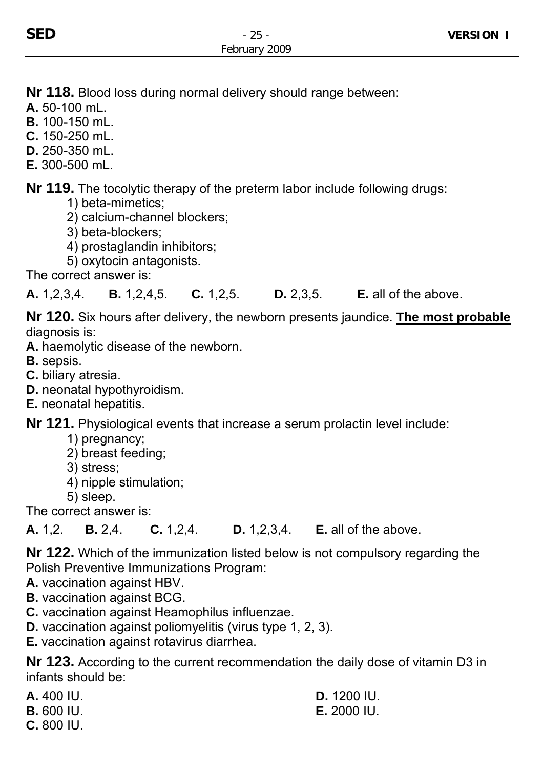**Nr 118.** Blood loss during normal delivery should range between:

**A.** 50-100 mL.

**B.** 100-150 mL.

**C.** 150-250 mL.

**D.** 250-350 mL.

**E.** 300-500 mL.

**Nr 119.** The tocolytic therapy of the preterm labor include following drugs:

- 1) beta-mimetics;
- 2) calcium-channel blockers;
- 3) beta-blockers;
- 4) prostaglandin inhibitors;
- 5) oxytocin antagonists.

The correct answer is:

**A.** 1,2,3,4. **B.** 1,2,4,5. **C.** 1,2,5. **D.** 2,3,5. **E.** all of the above.

**Nr 120.** Six hours after delivery, the newborn presents jaundice. **The most probable** diagnosis is:

**A.** haemolytic disease of the newborn.

- **B.** sepsis.
- **C.** biliary atresia.
- **D.** neonatal hypothyroidism.
- **E.** neonatal hepatitis.

**Nr 121.** Physiological events that increase a serum prolactin level include:

- 1) pregnancy;
- 2) breast feeding;
- 3) stress;
- 4) nipple stimulation;
- 5) sleep.

The correct answer is:

**A.** 1,2. **B.** 2,4. **C.** 1,2,4. **D.** 1,2,3,4. **E.** all of the above.

**Nr 122.** Which of the immunization listed below is not compulsory regarding the Polish Preventive Immunizations Program:

**A.** vaccination against HBV.

- **B.** vaccination against BCG.
- **C.** vaccination against Heamophilus influenzae.
- **D.** vaccination against poliomyelitis (virus type 1, 2, 3).
- **E.** vaccination against rotavirus diarrhea.

**Nr 123.** According to the current recommendation the daily dose of vitamin D3 in infants should be:

| A. 400 IU.        | <b>D.</b> 1200 IU. |
|-------------------|--------------------|
| <b>B.</b> 600 IU. | <b>E.</b> 2000 IU. |
| C. 800 IU.        |                    |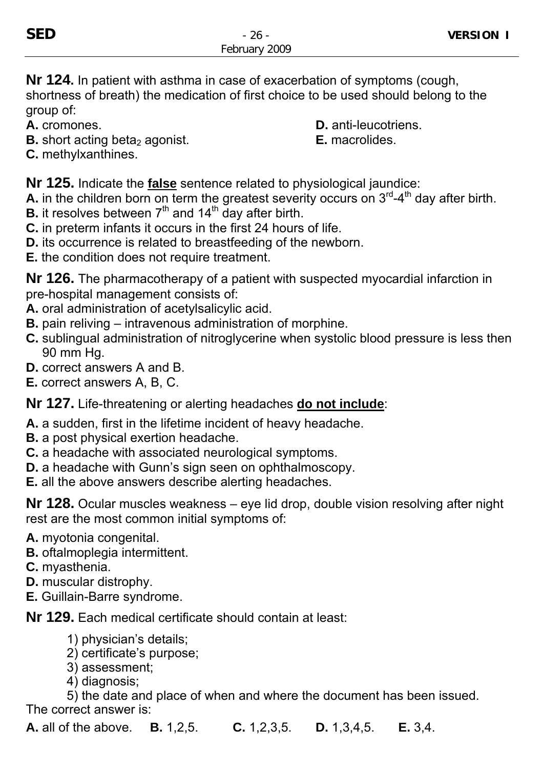**Nr 124.** In patient with asthma in case of exacerbation of symptoms (cough, shortness of breath) the medication of first choice to be used should belong to the group of:

- 
- **B.** short acting beta<sub>2</sub> agonist. **E.** macrolides.

**A.** cromones. **D.** anti-leucotriens.

**C.** methylxanthines.

**Nr 125.** Indicate the **false** sentence related to physiological jaundice:

**A.** in the children born on term the greatest severity occurs on  $3^{rd}-4^{th}$  day after birth.

- **B.** it resolves between  $7<sup>th</sup>$  and  $14<sup>th</sup>$  day after birth.
- **C.** in preterm infants it occurs in the first 24 hours of life.
- **D.** its occurrence is related to breastfeeding of the newborn.
- **E.** the condition does not require treatment.

**Nr 126.** The pharmacotherapy of a patient with suspected myocardial infarction in pre-hospital management consists of:

- **A.** oral administration of acetylsalicylic acid.
- **B.** pain reliving intravenous administration of morphine.
- **C.** sublingual administration of nitroglycerine when systolic blood pressure is less then 90 mm Hg.
- **D.** correct answers A and B.
- **E.** correct answers A, B, C.

**Nr 127.** Life-threatening or alerting headaches **do not include**:

- **A.** a sudden, first in the lifetime incident of heavy headache.
- **B.** a post physical exertion headache.
- **C.** a headache with associated neurological symptoms.
- **D.** a headache with Gunn's sign seen on ophthalmoscopy.
- **E.** all the above answers describe alerting headaches.

**Nr 128.** Ocular muscles weakness – eye lid drop, double vision resolving after night rest are the most common initial symptoms of:

- **A.** myotonia congenital.
- **B.** oftalmoplegia intermittent.
- **C.** myasthenia.
- **D.** muscular distrophy.
- **E.** Guillain-Barre syndrome.

**Nr 129.** Each medical certificate should contain at least:

- 1) physician's details;
- 2) certificate's purpose;
- 3) assessment;
- 4) diagnosis;

5) the date and place of when and where the document has been issued. The correct answer is:

**A.** all of the above. **B.** 1,2,5. **C.** 1,2,3,5. **D.** 1,3,4,5. **E.** 3,4.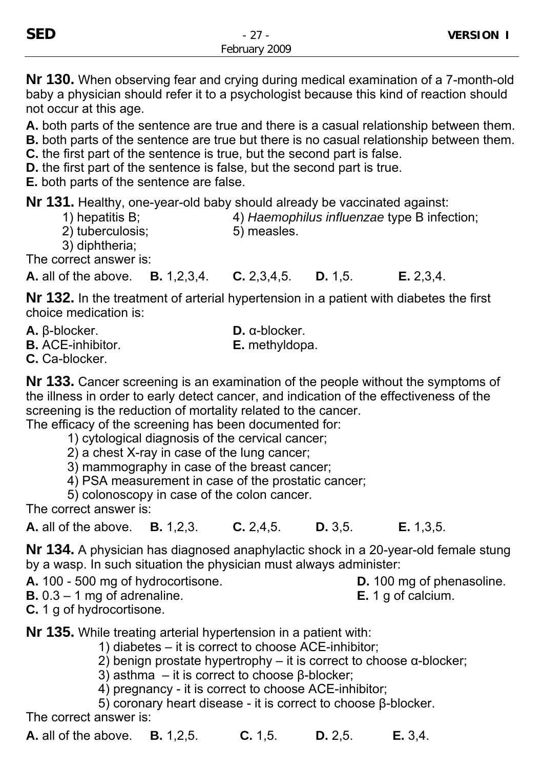| <b>SED</b> | $\overline{\phantom{0}}$<br>-- | <b>VERSION</b> |
|------------|--------------------------------|----------------|
|            | February 2009                  |                |

**Nr 130.** When observing fear and crying during medical examination of a 7-month-old baby a physician should refer it to a psychologist because this kind of reaction should not occur at this age.

**A.** both parts of the sentence are true and there is a casual relationship between them.

**B.** both parts of the sentence are true but there is no casual relationship between them. **C.** the first part of the sentence is true, but the second part is false.

**D.** the first part of the sentence is false, but the second part is true.

**E.** both parts of the sentence are false.

**Nr 131.** Healthy, one-year-old baby should already be vaccinated against:

- 
- 1) hepatitis B; <br>2) tuberculosis; <br>2) tuberculosis; <br>5) measles.
- 2) tuberculosis;
- 3) diphtheria;

The correct answer is:

**A.** all of the above. **B.** 1,2,3,4. **C.** 2,3,4,5. **D.** 1,5. **E.** 2,3,4.

**Nr 132.** In the treatment of arterial hypertension in a patient with diabetes the first choice medication is:

- **A.** β-blocker. **D.** α-blocker.
- **B.** ACE-inhibitor. **E.** methyldopa.

**C.** Ca-blocker.

**Nr 133.** Cancer screening is an examination of the people without the symptoms of the illness in order to early detect cancer, and indication of the effectiveness of the screening is the reduction of mortality related to the cancer.

The efficacy of the screening has been documented for:

- 1) cytological diagnosis of the cervical cancer;
- 2) a chest X-ray in case of the lung cancer;
- 3) mammography in case of the breast cancer;
- 4) PSA measurement in case of the prostatic cancer;
- 5) colonoscopy in case of the colon cancer.

The correct answer is:

**A.** all of the above. **B.** 1,2,3. **C.** 2,4,5. **D.** 3,5. **E.** 1,3,5.

**Nr 134.** A physician has diagnosed anaphylactic shock in a 20-year-old female stung by a wasp. In such situation the physician must always administer:

**A.** 100 - 500 mg of hydrocortisone. **D.** 100 mg of phenasoline.

**B.**  $0.3 - 1$  mg of adrenaline. **E.** 1 g of calcium.

**C.** 1 g of hydrocortisone.

**Nr 135.** While treating arterial hypertension in a patient with:

1) diabetes – it is correct to choose ACE-inhibitor;

- 2) benign prostate hypertrophy it is correct to choose α-blocker;
- 3) asthma it is correct to choose β-blocker;

4) pregnancy - it is correct to choose ACE-inhibitor;

5) coronary heart disease - it is correct to choose β-blocker. The correct answer is:

**A.** all of the above. **B.** 1,2,5. **C.** 1,5. **D.** 2,5. **E.** 3,4.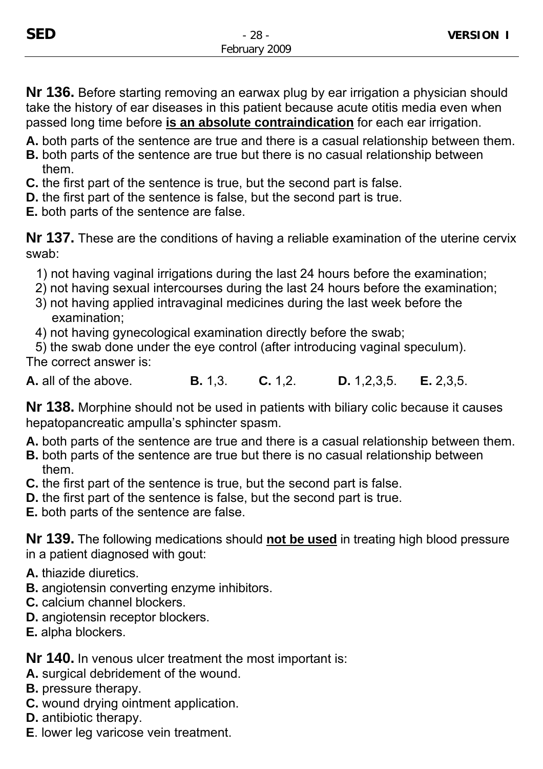**Nr 136.** Before starting removing an earwax plug by ear irrigation a physician should take the history of ear diseases in this patient because acute otitis media even when passed long time before **is an absolute contraindication** for each ear irrigation.

- **A.** both parts of the sentence are true and there is a casual relationship between them.
- **B.** both parts of the sentence are true but there is no casual relationship between them.
- **C.** the first part of the sentence is true, but the second part is false.
- **D.** the first part of the sentence is false, but the second part is true.
- **E.** both parts of the sentence are false.

**Nr 137.** These are the conditions of having a reliable examination of the uterine cervix swab:

- 1) not having vaginal irrigations during the last 24 hours before the examination;
- 2) not having sexual intercourses during the last 24 hours before the examination;
- 3) not having applied intravaginal medicines during the last week before the examination;
- 4) not having gynecological examination directly before the swab;

5) the swab done under the eye control (after introducing vaginal speculum). The correct answer is:

**A.** all of the above. **B.** 1,3. **C.** 1,2. **D.** 1,2,3,5. **E.** 2,3,5.

**Nr 138.** Morphine should not be used in patients with biliary colic because it causes hepatopancreatic ampulla's sphincter spasm.

**A.** both parts of the sentence are true and there is a casual relationship between them.

- **B.** both parts of the sentence are true but there is no casual relationship between them.
- **C.** the first part of the sentence is true, but the second part is false.
- **D.** the first part of the sentence is false, but the second part is true.
- **E.** both parts of the sentence are false.

**Nr 139.** The following medications should **not be used** in treating high blood pressure in a patient diagnosed with gout:

- **A.** thiazide diuretics.
- **B.** angiotensin converting enzyme inhibitors.
- **C.** calcium channel blockers.
- **D.** angiotensin receptor blockers.
- **E.** alpha blockers.

**Nr 140.** In venous ulcer treatment the most important is:

- **A.** surgical debridement of the wound.
- **B.** pressure therapy.
- **C.** wound drying ointment application.
- **D.** antibiotic therapy.
- **E**. lower leg varicose vein treatment.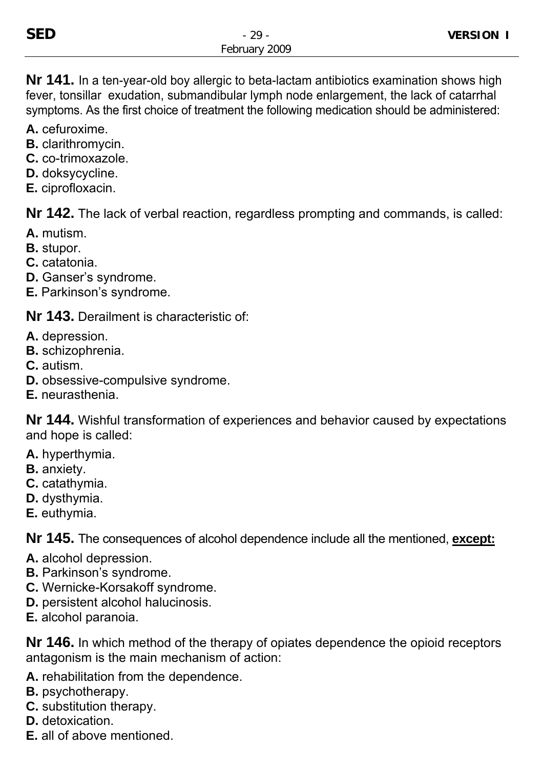**Nr 141.** In a ten-year-old boy allergic to beta-lactam antibiotics examination shows high fever, tonsillar exudation, submandibular lymph node enlargement, the lack of catarrhal symptoms. As the first choice of treatment the following medication should be administered:

- **A.** cefuroxime.
- **B.** clarithromycin.
- **C.** co-trimoxazole.
- **D.** doksycycline.
- **E.** ciprofloxacin.

**Nr 142.** The lack of verbal reaction, regardless prompting and commands, is called:

- **A.** mutism.
- **B.** stupor.
- **C.** catatonia.
- **D.** Ganser's syndrome.
- **E.** Parkinson's syndrome.

**Nr 143.** Derailment is characteristic of:

- **A.** depression.
- **B.** schizophrenia.
- **C.** autism.
- **D.** obsessive-compulsive syndrome.
- **E.** neurasthenia.

**Nr 144.** Wishful transformation of experiences and behavior caused by expectations and hope is called:

- **A.** hyperthymia.
- **B.** anxiety.
- **C.** catathymia.
- **D.** dysthymia.
- **E.** euthymia.

**Nr 145.** The consequences of alcohol dependence include all the mentioned, **except:**

- **A.** alcohol depression.
- **B.** Parkinson's syndrome.
- **C.** Wernicke-Korsakoff syndrome.
- **D.** persistent alcohol halucinosis.
- **E.** alcohol paranoia.

**Nr 146.** In which method of the therapy of opiates dependence the opioid receptors antagonism is the main mechanism of action:

- **A.** rehabilitation from the dependence.
- **B.** psychotherapy.
- **C.** substitution therapy.
- **D.** detoxication.
- **E.** all of above mentioned.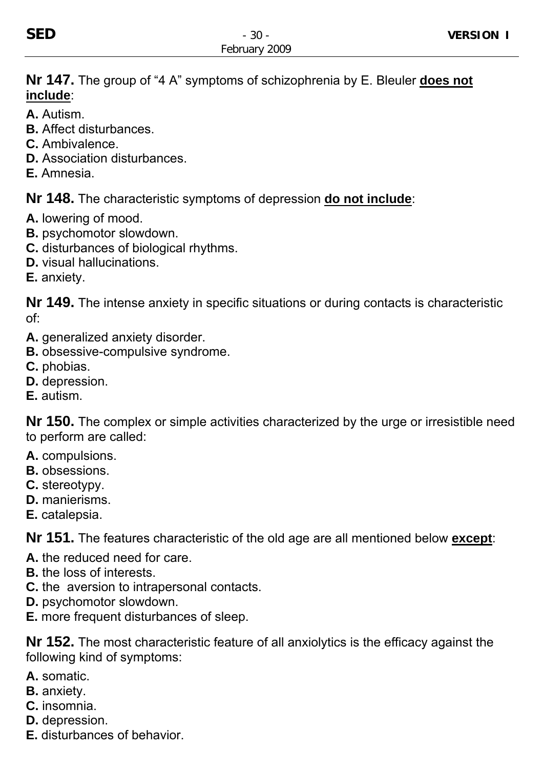**Nr 147.** The group of "4 A" symptoms of schizophrenia by E. Bleuler **does not include**:

- **A.** Autism.
- **B.** Affect disturbances.
- **C.** Ambivalence.
- **D.** Association disturbances.
- **E.** Amnesia.

**Nr 148.** The characteristic symptoms of depression **do not include**:

- **A.** lowering of mood.
- **B.** psychomotor slowdown.
- **C.** disturbances of biological rhythms.
- **D.** visual hallucinations.
- **E.** anxiety.

**Nr 149.** The intense anxiety in specific situations or during contacts is characteristic of:

- **A.** generalized anxiety disorder.
- **B.** obsessive-compulsive syndrome.
- **C.** phobias.
- **D.** depression.
- **E.** autism.

**Nr 150.** The complex or simple activities characterized by the urge or irresistible need to perform are called:

- **A.** compulsions.
- **B.** obsessions.
- **C.** stereotypy.
- **D.** manierisms.
- **E.** catalepsia.

**Nr 151.** The features characteristic of the old age are all mentioned below **except**:

- **A.** the reduced need for care.
- **B.** the loss of interests.
- **C.** the aversion to intrapersonal contacts.
- **D.** psychomotor slowdown.
- **E.** more frequent disturbances of sleep.

**Nr 152.** The most characteristic feature of all anxiolytics is the efficacy against the following kind of symptoms:

- **A.** somatic.
- **B.** anxiety.
- **C.** insomnia.
- **D.** depression.
- **E.** disturbances of behavior.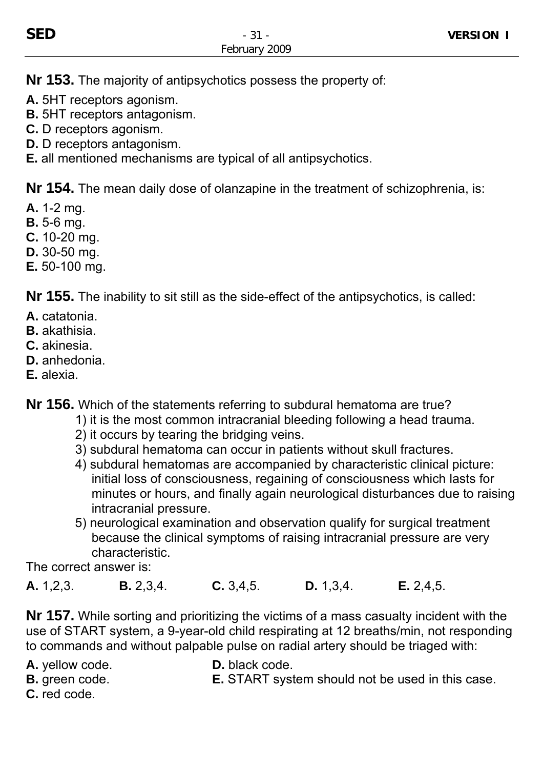**Nr 153.** The majority of antipsychotics possess the property of:

- **A.** 5HT receptors agonism.
- **B.** 5HT receptors antagonism.
- **C.** D receptors agonism.
- **D.** D receptors antagonism.

**E.** all mentioned mechanisms are typical of all antipsychotics.

**Nr 154.** The mean daily dose of olanzapine in the treatment of schizophrenia, is:

- **A.** 1-2 mg.
- **B.** 5-6 mg.
- **C.** 10-20 mg.
- **D.** 30-50 mg.
- **E.** 50-100 mg.

**Nr 155.** The inability to sit still as the side-effect of the antipsychotics, is called:

- **A.** catatonia.
- **B.** akathisia.
- **C.** akinesia.
- **D.** anhedonia.
- **E.** alexia.

**Nr 156.** Which of the statements referring to subdural hematoma are true?

- 1) it is the most common intracranial bleeding following a head trauma.
- 2) it occurs by tearing the bridging veins.
- 3) subdural hematoma can occur in patients without skull fractures.
- 4) subdural hematomas are accompanied by characteristic clinical picture: initial loss of consciousness, regaining of consciousness which lasts for minutes or hours, and finally again neurological disturbances due to raising intracranial pressure.
- 5) neurological examination and observation qualify for surgical treatment because the clinical symptoms of raising intracranial pressure are very characteristic.

The correct answer is:

**A.** 1,2,3. **B.** 2,3,4. **C.** 3,4,5. **D.** 1,3,4. **E.** 2,4,5.

**Nr 157.** While sorting and prioritizing the victims of a mass casualty incident with the use of START system, a 9-year-old child respirating at 12 breaths/min, not responding to commands and without palpable pulse on radial artery should be triaged with:

- **A.** yellow code. **D.** black code.
- 

- 
- **C.** red code.
- **B.** green code. **E.** START system should not be used in this case.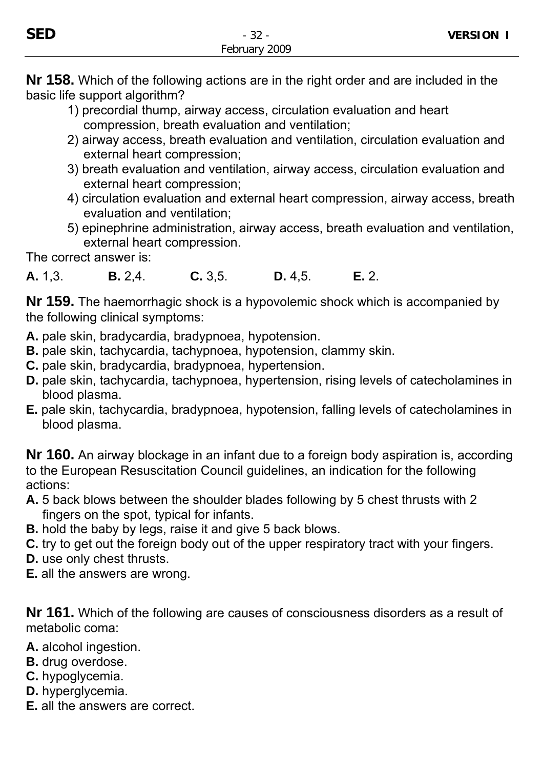**Nr 158.** Which of the following actions are in the right order and are included in the basic life support algorithm?

- 1) precordial thump, airway access, circulation evaluation and heart compression, breath evaluation and ventilation;
- 2) airway access, breath evaluation and ventilation, circulation evaluation and external heart compression;
- 3) breath evaluation and ventilation, airway access, circulation evaluation and external heart compression;
- 4) circulation evaluation and external heart compression, airway access, breath evaluation and ventilation;
- 5) epinephrine administration, airway access, breath evaluation and ventilation, external heart compression.

The correct answer is:

**A.** 1,3. **B.** 2,4. **C.** 3,5. **D.** 4,5. **E.** 2.

**Nr 159.** The haemorrhagic shock is a hypovolemic shock which is accompanied by the following clinical symptoms:

- **A.** pale skin, bradycardia, bradypnoea, hypotension.
- **B.** pale skin, tachycardia, tachypnoea, hypotension, clammy skin.
- **C.** pale skin, bradycardia, bradypnoea, hypertension.
- **D.** pale skin, tachycardia, tachypnoea, hypertension, rising levels of catecholamines in blood plasma.
- **E.** pale skin, tachycardia, bradypnoea, hypotension, falling levels of catecholamines in blood plasma.

**Nr 160.** An airway blockage in an infant due to a foreign body aspiration is, according to the European Resuscitation Council guidelines, an indication for the following actions:

- **A.** 5 back blows between the shoulder blades following by 5 chest thrusts with 2 fingers on the spot, typical for infants.
- **B.** hold the baby by legs, raise it and give 5 back blows.
- **C.** try to get out the foreign body out of the upper respiratory tract with your fingers.
- **D.** use only chest thrusts.
- **E.** all the answers are wrong.

**Nr 161.** Which of the following are causes of consciousness disorders as a result of metabolic coma:

**A.** alcohol ingestion.

- **B.** drug overdose.
- **C.** hypoglycemia.
- **D.** hyperglycemia.
- **E.** all the answers are correct.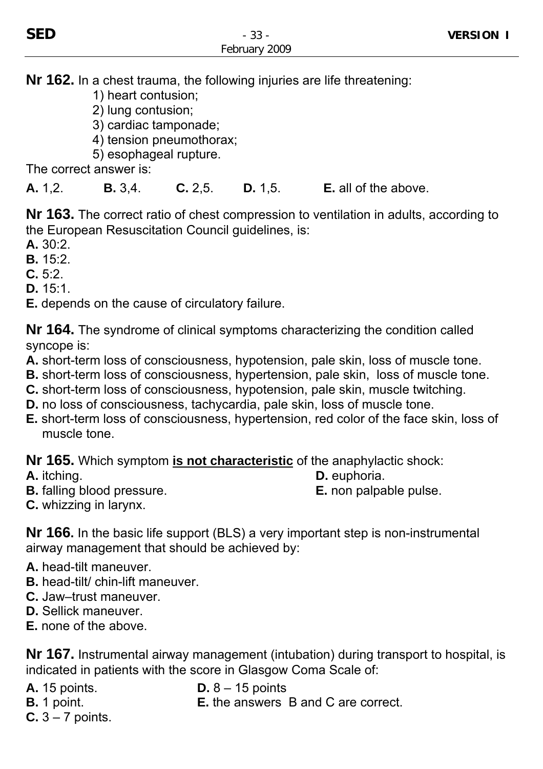**Nr 162.** In a chest trauma, the following injuries are life threatening:

1) heart contusion;

2) lung contusion;

3) cardiac tamponade;

4) tension pneumothorax;

5) esophageal rupture.

The correct answer is:

**A.** 1,2. **B.** 3,4. **C.** 2,5. **D.** 1,5. **E.** all of the above.

**Nr 163.** The correct ratio of chest compression to ventilation in adults, according to the European Resuscitation Council guidelines, is:

**A.** 30:2.

**B.** 15:2.

**C.** 5:2.

**D.** 15:1.

**E.** depends on the cause of circulatory failure.

**Nr 164.** The syndrome of clinical symptoms characterizing the condition called syncope is:

**A.** short-term loss of consciousness, hypotension, pale skin, loss of muscle tone.

**B.** short-term loss of consciousness, hypertension, pale skin, loss of muscle tone.

- **C.** short-term loss of consciousness, hypotension, pale skin, muscle twitching.
- **D.** no loss of consciousness, tachycardia, pale skin, loss of muscle tone.
- **E.** short-term loss of consciousness, hypertension, red color of the face skin, loss of muscle tone.

**Nr 165.** Which symptom **is not characteristic** of the anaphylactic shock:

**B.** falling blood pressure. **E.** non palpable pulse.

**A.** itching. **D.** euphoria.

**C.** whizzing in larynx.

**Nr 166.** In the basic life support (BLS) a very important step is non-instrumental airway management that should be achieved by:

**A.** head-tilt maneuver.

- **B.** head-tilt/ chin-lift maneuver.
- **C.** Jaw–trust maneuver.
- **D.** Sellick maneuver.
- **E.** none of the above.

**Nr 167.** Instrumental airway management (intubation) during transport to hospital, is indicated in patients with the score in Glasgow Coma Scale of:

- 
- 

**A.** 15 points. **D.** 8 – 15 points

**C.** 3 – 7 points.

**B.** 1 point. **E.** the answers B and C are correct.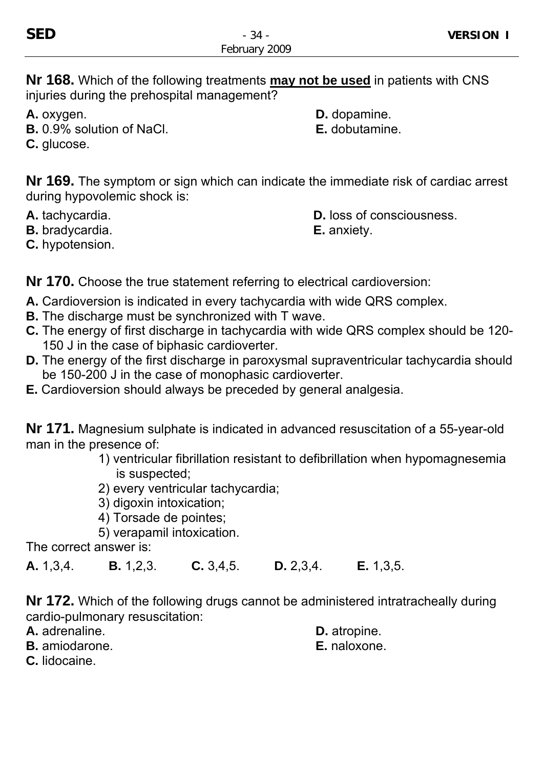| <b>SED</b> | - 34 -        | <b>VERSION</b> <i>I</i> |
|------------|---------------|-------------------------|
|            | February 2009 |                         |

**Nr 168.** Which of the following treatments **may not be used** in patients with CNS injuries during the prehospital management?

**B.** 0.9% solution of NaCl. **E.** dobutamine.

**A.** oxygen. **D.** dopamine.

**C.** glucose.

**Nr 169.** The symptom or sign which can indicate the immediate risk of cardiac arrest during hypovolemic shock is:

**B.** bradycardia. **E.** anxiety.

**A.** tachycardia. **D.** loss of consciousness.

**C.** hypotension.

- **Nr 170.** Choose the true statement referring to electrical cardioversion:
- **A.** Cardioversion is indicated in every tachycardia with wide QRS complex.
- **B.** The discharge must be synchronized with T wave.
- **C.** The energy of first discharge in tachycardia with wide QRS complex should be 120- 150 J in the case of biphasic cardioverter.
- **D.** The energy of the first discharge in paroxysmal supraventricular tachycardia should be 150-200 J in the case of monophasic cardioverter.
- **E.** Cardioversion should always be preceded by general analgesia.

**Nr 171.** Magnesium sulphate is indicated in advanced resuscitation of a 55-year-old man in the presence of:

- 1) ventricular fibrillation resistant to defibrillation when hypomagnesemia is suspected;
- 2) every ventricular tachycardia;
- 3) digoxin intoxication;
- 4) Torsade de pointes;
- 5) verapamil intoxication.

The correct answer is:

**A.** 1,3,4. **B.** 1,2,3. **C.** 3,4,5. **D.** 2,3,4. **E.** 1,3,5.

**Nr 172.** Which of the following drugs cannot be administered intratracheally during cardio-pulmonary resuscitation:

**A.** adrenaline. **D.** atropine.

**B.** amiodarone. **E.** naloxone.

**C.** lidocaine.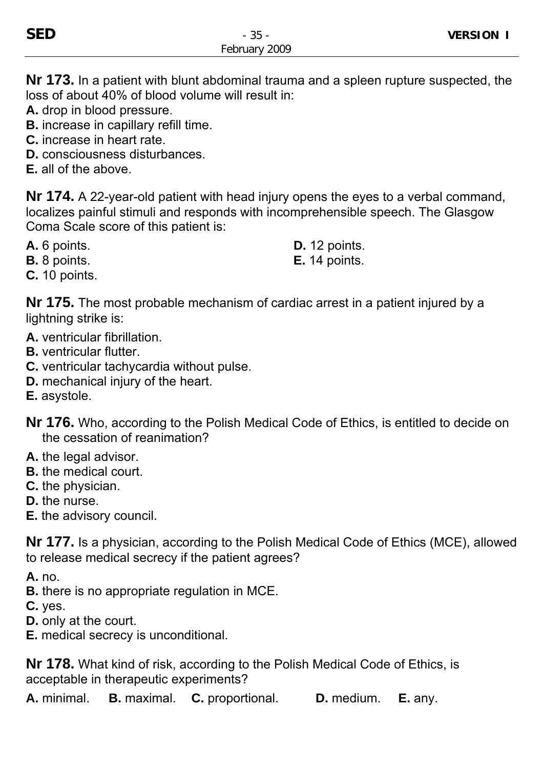| <b>SED</b> | ∩г<br>. სე. - | <b>VERSION</b> |  |
|------------|---------------|----------------|--|
|            | February 2009 |                |  |
|            |               |                |  |

**Nr 173.** In a patient with blunt abdominal trauma and a spleen rupture suspected, the loss of about 40% of blood volume will result in:

- **A.** drop in blood pressure.
- **B.** increase in capillary refill time.
- **C.** increase in heart rate.
- **D.** consciousness disturbances.
- **E.** all of the above.

**Nr 174.** A 22-year-old patient with head injury opens the eyes to a verbal command, localizes painful stimuli and responds with incomprehensible speech. The Glasgow Coma Scale score of this patient is:

- 
- **B.** 8 points. **E.** 14 points.
- **C.** 10 points.

**Nr 175.** The most probable mechanism of cardiac arrest in a patient injured by a lightning strike is:

- **A.** ventricular fibrillation.
- **B.** ventricular flutter.
- **C.** ventricular tachycardia without pulse.
- **D.** mechanical injury of the heart.
- **E.** asystole.

**Nr 176.** Who, according to the Polish Medical Code of Ethics, is entitled to decide on the cessation of reanimation?

- **A.** the legal advisor.
- **B.** the medical court.
- **C.** the physician.
- **D.** the nurse.
- **E.** the advisory council.

**Nr 177.** Is a physician, according to the Polish Medical Code of Ethics (MCE), allowed to release medical secrecy if the patient agrees?

- **A.** no.
- **B.** there is no appropriate regulation in MCE.
- **C.** yes.
- **D.** only at the court.
- **E.** medical secrecy is unconditional.

**Nr 178.** What kind of risk, according to the Polish Medical Code of Ethics, is acceptable in therapeutic experiments?

**A.** minimal. **B.** maximal. **C.** proportional. **D.** medium. **E.** any.

**A.** 6 points. **D.** 12 points.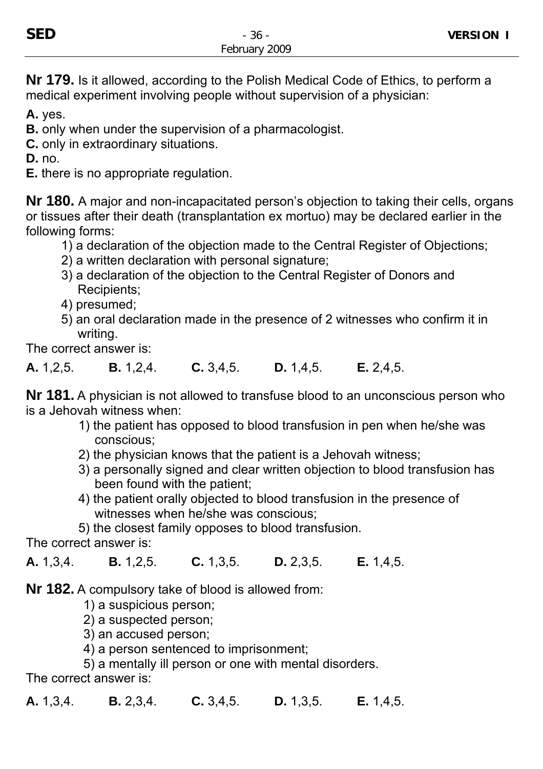**Nr 179.** Is it allowed, according to the Polish Medical Code of Ethics, to perform a medical experiment involving people without supervision of a physician:

**A.** yes.

**B.** only when under the supervision of a pharmacologist.

**C.** only in extraordinary situations.

**D.** no.

**E.** there is no appropriate regulation.

**Nr 180.** A major and non-incapacitated person's objection to taking their cells, organs or tissues after their death (transplantation ex mortuo) may be declared earlier in the following forms:

1) a declaration of the objection made to the Central Register of Objections;

- 2) a written declaration with personal signature;
- 3) a declaration of the objection to the Central Register of Donors and Recipients;
- 4) presumed;
- 5) an oral declaration made in the presence of 2 witnesses who confirm it in writing.

The correct answer is:

**A.** 1,2,5. **B.** 1,2,4. **C.** 3,4,5. **D.** 1,4,5. **E.** 2,4,5.

**Nr 181.** A physician is not allowed to transfuse blood to an unconscious person who is a Jehovah witness when:

- 1) the patient has opposed to blood transfusion in pen when he/she was conscious;
- 2) the physician knows that the patient is a Jehovah witness;
- 3) a personally signed and clear written objection to blood transfusion has been found with the patient;
- 4) the patient orally objected to blood transfusion in the presence of witnesses when he/she was conscious;

5) the closest family opposes to blood transfusion.

The correct answer is:

**A.** 1,3,4. **B.** 1,2,5. **C.** 1,3,5. **D.** 2,3,5. **E.** 1,4,5.

**Nr 182.** A compulsory take of blood is allowed from:

- 1) a suspicious person;
- 2) a suspected person;
- 3) an accused person;
- 4) a person sentenced to imprisonment;
- 5) a mentally ill person or one with mental disorders.

The correct answer is:

**A.** 1,3,4. **B.** 2,3,4. **C.** 3,4,5. **D.** 1,3,5. **E.** 1,4,5.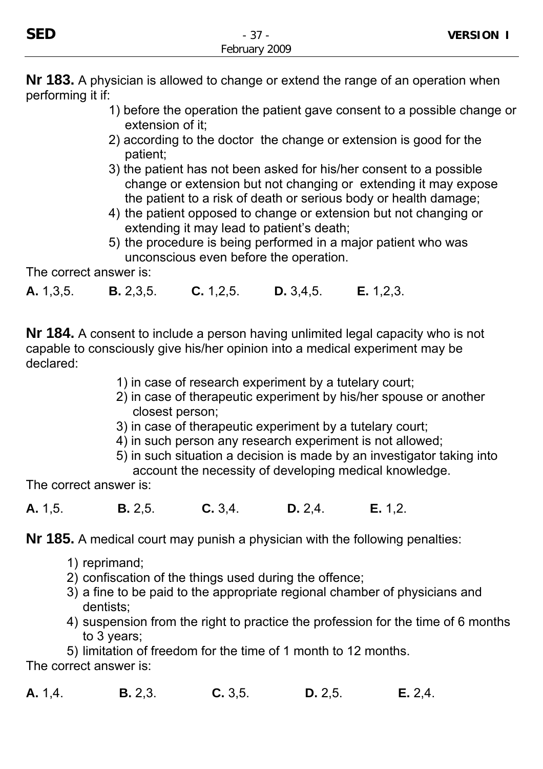**Nr 183.** A physician is allowed to change or extend the range of an operation when performing it if:

- 1) before the operation the patient gave consent to a possible change or extension of it;
- 2) according to the doctor the change or extension is good for the patient;
- 3) the patient has not been asked for his/her consent to a possible change or extension but not changing or extending it may expose the patient to a risk of death or serious body or health damage;
- 4) the patient opposed to change or extension but not changing or extending it may lead to patient's death;
- 5) the procedure is being performed in a major patient who was unconscious even before the operation.

The correct answer is:

**A.** 1,3,5. **B.** 2,3,5. **C.** 1,2,5. **D.** 3,4,5. **E.** 1,2,3.

**Nr 184.** A consent to include a person having unlimited legal capacity who is not capable to consciously give his/her opinion into a medical experiment may be declared:

- 1) in case of research experiment by a tutelary court;
- 2) in case of therapeutic experiment by his/her spouse or another closest person;
- 3) in case of therapeutic experiment by a tutelary court;
- 4) in such person any research experiment is not allowed;
- 5) in such situation a decision is made by an investigator taking into account the necessity of developing medical knowledge.

The correct answer is:

**A.** 1,5. **B.** 2,5. **C.** 3,4. **D.** 2,4. **E.** 1,2.

**Nr 185.** A medical court may punish a physician with the following penalties:

- 1) reprimand;
- 2) confiscation of the things used during the offence;
- 3) a fine to be paid to the appropriate regional chamber of physicians and dentists;
- 4) suspension from the right to practice the profession for the time of 6 months to 3 years;

5) limitation of freedom for the time of 1 month to 12 months. The correct answer is:

| A. 1,4. | B. 2, 3. | C. 3, 5. | D. 2, 5. | E. 2,4. |
|---------|----------|----------|----------|---------|
|         |          |          |          |         |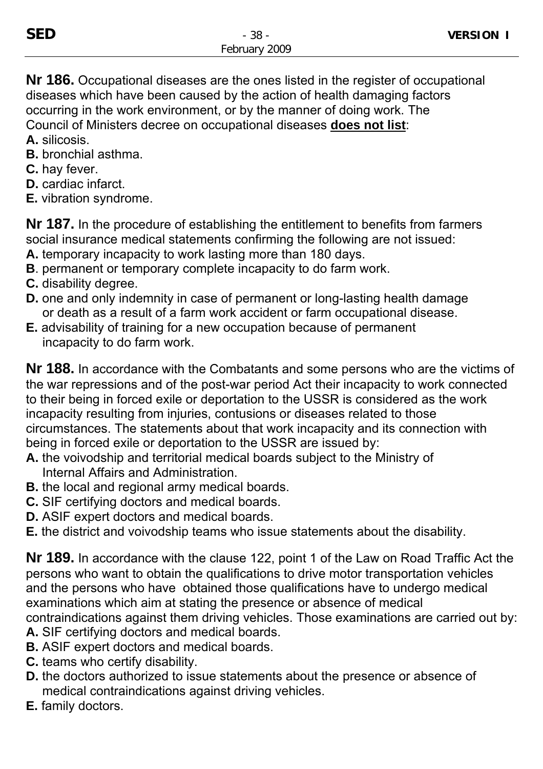**Nr 186.** Occupational diseases are the ones listed in the register of occupational diseases which have been caused by the action of health damaging factors occurring in the work environment, or by the manner of doing work. The Council of Ministers decree on occupational diseases **does not list**:

- **A.** silicosis.
- **B.** bronchial asthma.
- **C.** hay fever.
- **D.** cardiac infarct.
- **E.** vibration syndrome.

**Nr 187.** In the procedure of establishing the entitlement to benefits from farmers social insurance medical statements confirming the following are not issued:

- **A.** temporary incapacity to work lasting more than 180 days.
- **B**. permanent or temporary complete incapacity to do farm work.
- **C.** disability degree.
- **D.** one and only indemnity in case of permanent or long-lasting health damage or death as a result of a farm work accident or farm occupational disease.
- **E.** advisability of training for a new occupation because of permanent incapacity to do farm work.

**Nr 188.** In accordance with the Combatants and some persons who are the victims of the war repressions and of the post-war period Act their incapacity to work connected to their being in forced exile or deportation to the USSR is considered as the work incapacity resulting from injuries, contusions or diseases related to those circumstances. The statements about that work incapacity and its connection with being in forced exile or deportation to the USSR are issued by:

- **A.** the voivodship and territorial medical boards subject to the Ministry of Internal Affairs and Administration.
- **B.** the local and regional army medical boards.
- **C.** SIF certifying doctors and medical boards.
- **D.** ASIF expert doctors and medical boards.
- **E.** the district and voivodship teams who issue statements about the disability.

**Nr 189.** In accordance with the clause 122, point 1 of the Law on Road Traffic Act the persons who want to obtain the qualifications to drive motor transportation vehicles and the persons who have obtained those qualifications have to undergo medical examinations which aim at stating the presence or absence of medical contraindications against them driving vehicles. Those examinations are carried out by:

- **A.** SIF certifying doctors and medical boards.
- **B.** ASIF expert doctors and medical boards.
- **C.** teams who certify disability.
- **D.** the doctors authorized to issue statements about the presence or absence of medical contraindications against driving vehicles.
- **E.** family doctors.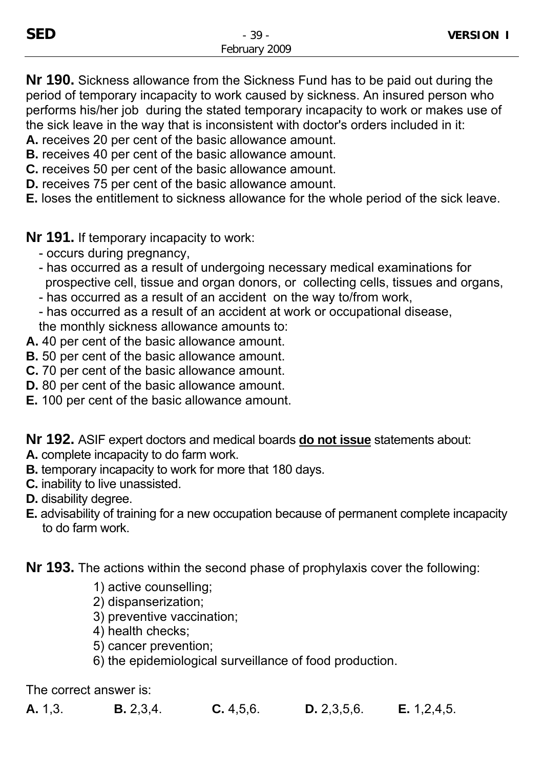**Nr 190.** Sickness allowance from the Sickness Fund has to be paid out during the period of temporary incapacity to work caused by sickness. An insured person who performs his/her job during the stated temporary incapacity to work or makes use of the sick leave in the way that is inconsistent with doctor's orders included in it:

**A.** receives 20 per cent of the basic allowance amount.

- **B.** receives 40 per cent of the basic allowance amount.
- **C.** receives 50 per cent of the basic allowance amount.
- **D.** receives 75 per cent of the basic allowance amount.

**E.** loses the entitlement to sickness allowance for the whole period of the sick leave.

**Nr 191.** If temporary incapacity to work:

- occurs during pregnancy,
- has occurred as a result of undergoing necessary medical examinations for prospective cell, tissue and organ donors, or collecting cells, tissues and organs,
- has occurred as a result of an accident on the way to/from work,
- has occurred as a result of an accident at work or occupational disease, the monthly sickness allowance amounts to:
- **A.** 40 per cent of the basic allowance amount.
- **B.** 50 per cent of the basic allowance amount.
- **C.** 70 per cent of the basic allowance amount.
- **D.** 80 per cent of the basic allowance amount.
- **E.** 100 per cent of the basic allowance amount.

**Nr 192.** ASIF expert doctors and medical boards **do not issue** statements about:

- **A.** complete incapacity to do farm work.
- **B.** temporary incapacity to work for more that 180 days.
- **C.** inability to live unassisted.
- **D.** disability degree.
- **E.** advisability of training for a new occupation because of permanent complete incapacity to do farm work.

**Nr 193.** The actions within the second phase of prophylaxis cover the following:

- 1) active counselling;
- 2) dispanserization;
- 3) preventive vaccination;
- 4) health checks;
- 5) cancer prevention;
- 6) the epidemiological surveillance of food production.

The correct answer is:

**A.** 1,3. **B.** 2,3,4. **C.** 4,5,6. **D.** 2,3,5,6. **E.** 1,2,4,5.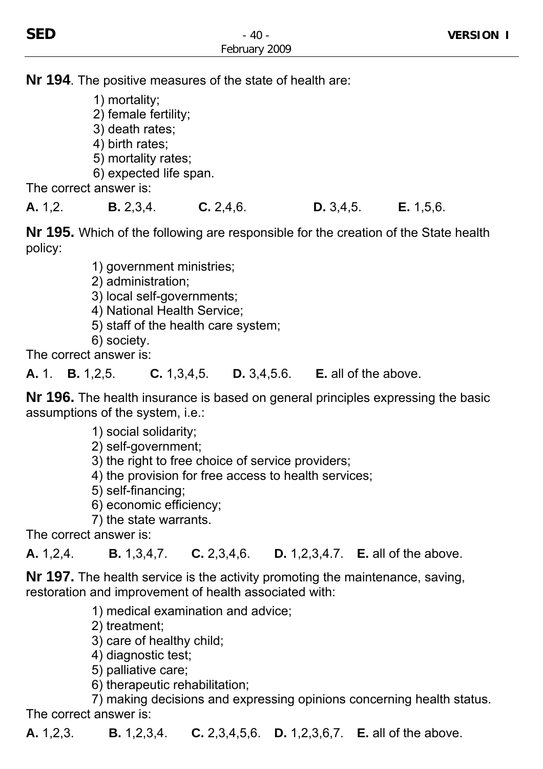| <b>VERSION I</b> |  |
|------------------|--|
|------------------|--|

**Nr 194**. The positive measures of the state of health are:

1) mortality; 2) female fertility;

3) death rates;

4) birth rates;

5) mortality rates;

6) expected life span.

The correct answer is:

#### **A.** 1,2. **B.** 2,3,4. **C.** 2,4,6. **D.** 3,4,5. **E.** 1,5,6.

**Nr 195.** Which of the following are responsible for the creation of the State health policy:

1) government ministries;

2) administration;

3) local self-governments;

4) National Health Service;

5) staff of the health care system;

6) society.

The correct answer is:

**A.** 1. **B.** 1,2,5. **C.** 1,3,4,5. **D.** 3,4,5.6. **E.** all of the above.

**Nr 196.** The health insurance is based on general principles expressing the basic assumptions of the system, i.e.:

1) social solidarity;

2) self-government;

3) the right to free choice of service providers;

4) the provision for free access to health services;

5) self-financing;

6) economic efficiency;

7) the state warrants.

The correct answer is:

**A.** 1,2,4. **B.** 1,3,4,7. **C.** 2,3,4,6. **D.** 1,2,3,4.7. **E.** all of the above.

**Nr 197.** The health service is the activity promoting the maintenance, saving, restoration and improvement of health associated with:

1) medical examination and advice;

2) treatment;

3) care of healthy child;

4) diagnostic test;

5) palliative care;

6) therapeutic rehabilitation;

7) making decisions and expressing opinions concerning health status. The correct answer is:

**A.** 1,2,3. **B.** 1,2,3,4. **C.** 2,3,4,5,6. **D.** 1,2,3,6,7. **E.** all of the above.